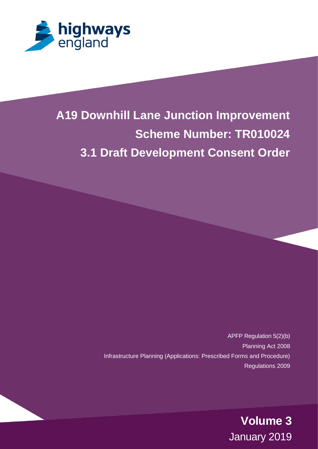

# **A19 Downhill Lane Junction Improvement Scheme Number: TR010024 3.1 Draft Development Consent Order**

APFP Regulation 5(2)(b) Planning Act 2008 Infrastructure Planning (Applications: Prescribed Forms and Procedure) Regulations 2009

> **Volume 3** January 2019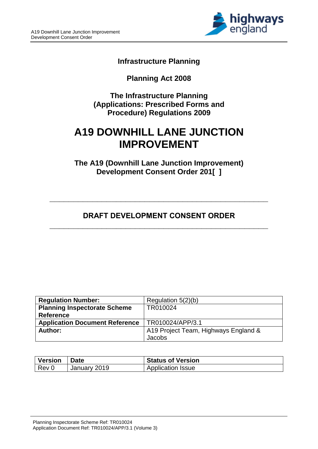

# **Infrastructure Planning**

# **Planning Act 2008**

**The Infrastructure Planning (Applications: Prescribed Forms and Procedure) Regulations 2009**

# **A19 DOWNHILL LANE JUNCTION IMPROVEMENT**

**The A19 (Downhill Lane Junction Improvement) Development Consent Order 201[ ]**

# **DRAFT DEVELOPMENT CONSENT ORDER**

**\_\_\_\_\_\_\_\_\_\_\_\_\_\_\_\_\_\_\_\_\_\_\_\_\_\_\_\_\_\_\_\_\_\_\_\_\_\_\_\_\_\_\_\_\_\_**

**\_\_\_\_\_\_\_\_\_\_\_\_\_\_\_\_\_\_\_\_\_\_\_\_\_\_\_\_\_\_\_\_\_\_\_\_\_\_\_\_\_\_\_\_\_\_**

| <b>Regulation Number:</b>             | Regulation 5(2)(b)                   |
|---------------------------------------|--------------------------------------|
| <b>Planning Inspectorate Scheme</b>   | TR010024                             |
| <b>Reference</b>                      |                                      |
| <b>Application Document Reference</b> | TR010024/APP/3.1                     |
| Author:                               | A19 Project Team, Highways England & |
|                                       | Jacobs                               |

| Version   | Date         | <b>Status of Version</b> |
|-----------|--------------|--------------------------|
| $ $ Rev 0 | January 2019 | <b>Application Issue</b> |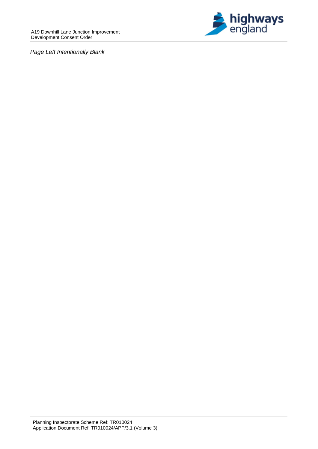

*Page Left Intentionally Blank*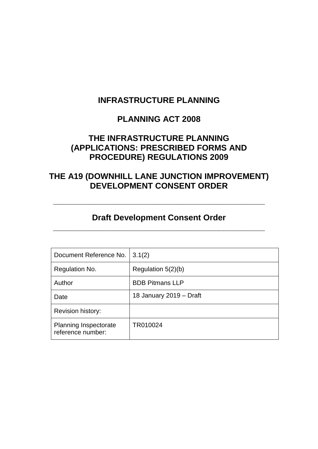# **INFRASTRUCTURE PLANNING**

# **PLANNING ACT 2008**

# **THE INFRASTRUCTURE PLANNING (APPLICATIONS: PRESCRIBED FORMS AND PROCEDURE) REGULATIONS 2009**

# **THE A19 (DOWNHILL LANE JUNCTION IMPROVEMENT) DEVELOPMENT CONSENT ORDER**

# **Draft Development Consent Order**

**\_\_\_\_\_\_\_\_\_\_\_\_\_\_\_\_\_\_\_\_\_\_\_\_\_\_\_\_\_\_\_\_\_\_\_\_\_\_\_\_\_\_\_\_\_\_**

**\_\_\_\_\_\_\_\_\_\_\_\_\_\_\_\_\_\_\_\_\_\_\_\_\_\_\_\_\_\_\_\_\_\_\_\_\_\_\_\_\_\_\_\_\_\_**

| Document Reference No.                            | 3.1(2)                  |
|---------------------------------------------------|-------------------------|
| Regulation No.                                    | Regulation 5(2)(b)      |
| Author                                            | <b>BDB Pitmans LLP</b>  |
| Date                                              | 18 January 2019 - Draft |
| <b>Revision history:</b>                          |                         |
| <b>Planning Inspectorate</b><br>reference number: | TR010024                |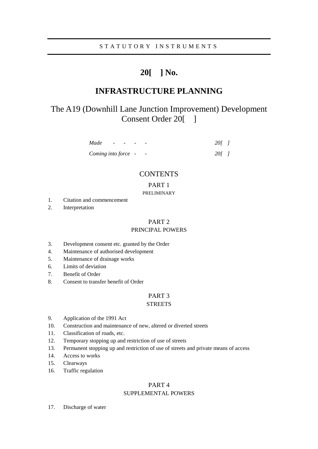### S T A T U T O R Y I N S T R U M E N T S

# **20[ ] No.**

# **INFRASTRUCTURE PLANNING**

# The A19 (Downhill Lane Junction Improvement) Development Consent Order 20<sup>[1]</sup>

*Made - - - - 20[ ] Coming into force - - 20[ ]*

### **CONTENTS**

### PART 1

### PRELIMINARY

- 1. Citation and commencement
- 2. Interpretation

### PART 2

### PRINCIPAL POWERS

- 3. Development consent etc. granted by the Order
- 4. Maintenance of authorised development
- 5. Maintenance of drainage works
- 6. Limits of deviation
- 7. Benefit of Order
- 8. Consent to transfer benefit of Order

### PART 3

### **STREETS**

- 9. Application of the 1991 Act
- 10. Construction and maintenance of new, altered or diverted streets
- 11. Classification of roads, etc.
- 12. Temporary stopping up and restriction of use of streets
- 13. Permanent stopping up and restriction of use of streets and private means of access
- 14. Access to works
- 15. Clearways
- 16. Traffic regulation

### PART 4 SUPPLEMENTAL POWERS

17. Discharge of water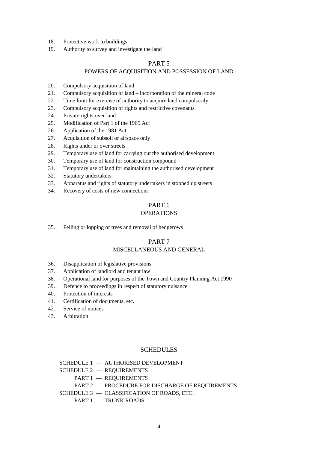- 18. Protective work to buildings
- 19. Authority to survey and investigate the land

### PART 5

### POWERS OF ACQUISITION AND POSSESSION OF LAND

- 20. Compulsory acquisition of land
- 21. Compulsory acquisition of land incorporation of the mineral code
- 22. Time limit for exercise of authority to acquire land compulsorily
- 23. Compulsory acquisition of rights and restrictive covenants
- 24. Private rights over land
- 25. Modification of Part 1 of the 1965 Act
- 26. Application of the 1981 Act
- 27. Acquisition of subsoil or airspace only
- 28. Rights under or over streets
- 29. Temporary use of land for carrying out the authorised development
- 30. Temporary use of land for construction compound
- 31. Temporary use of land for maintaining the authorised development
- 32. Statutory undertakers
- 33. Apparatus and rights of statutory undertakers in stopped up streets
- 34. Recovery of costs of new connections

### PART 6

### **OPERATIONS**

35. Felling or lopping of trees and removal of hedgerows

### PART 7

### MISCELLANEOUS AND GENERAL

- 36. Disapplication of legislative provisions
- 37. Application of landlord and tenant law
- 38. Operational land for purposes of the Town and Country Planning Act 1990
- 39. Defence to proceedings in respect of statutory nuisance
- 40. Protection of interests
- 41. Certification of documents, etc.
- 42. Service of notices
- 43. Arbitration

### **SCHEDULES**

SCHEDULE 1 — AUTHORISED DEVELOPMENT

- SCHEDULE 2 REQUIREMENTS
	- PART 1 REQUIREMENTS
	- PART 2 PROCEDURE FOR DISCHARGE OF REQUIREMENTS
- SCHEDULE 3 CLASSIFICATION OF ROADS, ETC.
	- PART 1 TRUNK ROADS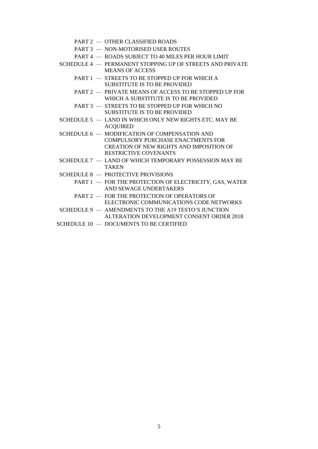PART 3 — NON-MOTORISED USER ROUTES

- PART 4 ROADS SUBJECT TO 40 MILES PER HOUR LIMIT
- SCHEDULE 4 PERMANENT STOPPING UP OF STREETS AND PRIVATE MEANS OF ACCESS
	- PART 1 STREETS TO BE STOPPED UP FOR WHICH A SUBSTITUTE IS TO BE PROVIDED
	- PART 2 PRIVATE MEANS OF ACCESS TO BE STOPPED UP FOR WHICH A SUBSTITUTE IS TO BE PROVIDED
	- PART 3 STREETS TO BE STOPPED UP FOR WHICH NO SUBSTITUTE IS TO BE PROVIDED
- SCHEDULE 5 LAND IN WHICH ONLY NEW RIGHTS ETC. MAY BE ACQUIRED
- SCHEDULE 6 MODIFICATION OF COMPENSATION AND COMPULSORY PURCHASE ENACTMENTS FOR CREATION OF NEW RIGHTS AND IMPOSITION OF RESTRICTIVE COVENANTS
- SCHEDULE 7 LAND OF WHICH TEMPORARY POSSESSION MAY BE TAKEN
- SCHEDULE 8 PROTECTIVE PROVISIONS
	- PART 1 FOR THE PROTECTION OF ELECTRICITY, GAS, WATER AND SEWAGE UNDERTAKERS
	- PART 2 FOR THE PROTECTION OF OPERATORS OF ELECTRONIC COMMUNICATIONS CODE NETWORKS
- SCHEDULE 9 AMENDMENTS TO THE A19 TESTO'S JUNCTION ALTERATION DEVELOPMENT CONSENT ORDER 2018
- SCHEDULE 10 DOCUMENTS TO BE CERTIFIED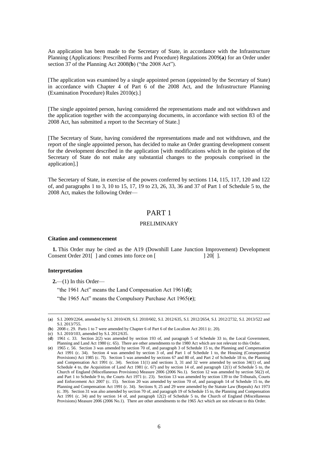An application has been made to the Secretary of State, in accordance with the Infrastructure Planning (Applications: Prescribed Forms and Procedure) Regulations 2009(**a**) for an Order under section 37 of the Planning Act 2008(**b**) ("the 2008 Act").

[The application was examined by a single appointed person (appointed by the Secretary of State) in accordance with Chapter 4 of Part 6 of the 2008 Act, and the Infrastructure Planning (Examination Procedure) Rules 2010(**c**).]

[The single appointed person, having considered the representations made and not withdrawn and the application together with the accompanying documents, in accordance with section 83 of the 2008 Act, has submitted a report to the Secretary of State.]

[The Secretary of State, having considered the representations made and not withdrawn, and the report of the single appointed person, has decided to make an Order granting development consent for the development described in the application [with modifications which in the opinion of the Secretary of State do not make any substantial changes to the proposals comprised in the application].]

The Secretary of State, in exercise of the powers conferred by sections 114, 115, 117, 120 and 122 of, and paragraphs 1 to 3, 10 to 15, 17, 19 to 23, 26, 33, 36 and 37 of Part 1 of Schedule 5 to, the 2008 Act, makes the following Order—

### PART 1

#### PRELIMINARY

#### **Citation and commencement**

**1.** This Order may be cited as the A19 (Downhill Lane Junction Improvement) Development Consent Order 201 | and comes into force on [  $\qquad$  | 20 | ].

#### **Interpretation**

 $\overline{a}$ 

**2.**—(1) In this Order—

"the 1961 Act" means the Land Compensation Act 1961(**d**);

"the 1965 Act" means the Compulsory Purchase Act 1965(**e**);

<sup>(</sup>**a**) S.I. 2009/2264, amended by S.I. 2010/439, S.I. 2010/602, S.I. 2012/635, S.I. 2012/2654, S.I. 2012/2732, S.I. 2013/522 and S.I. 2013/755.

<sup>(</sup>**b**) 2008 c. 29. Parts 1 to 7 were amended by Chapter 6 of Part 6 of the Localism Act 2011 (c. 20).

<sup>(</sup>**c**) S.I. 2010/103, amended by S.I. 2012/635.

<sup>(</sup>**d**) 1961 c. 33. Section 2(2) was amended by section 193 of, and paragraph 5 of Schedule 33 to, the Local Government, Planning and Land Act 1980 (c. 65). There are other amendments to the 1980 Act which are not relevant to this Order.

<sup>(</sup>**e**) 1965 c. 56. Section 3 was amended by section 70 of, and paragraph 3 of Schedule 15 to, the Planning and Compensation Act 1991 (c. 34). Section 4 was amended by section 3 of, and Part 1 of Schedule 1 to, the Housing (Consequential Provisions) Act 1985 (c. 7l). Section 5 was amended by sections 67 and 80 of, and Part 2 of Schedule 18 to, the Planning and Compensation Act 1991 (c. 34). Section 11(1) and sections 3, 31 and 32 were amended by section 34(1) of, and Schedule 4 to, the Acquisition of Land Act 1981 (c. 67) and by section 14 of, and paragraph 12(1) of Schedule 5 to, the Church of England (Miscellaneous Provisions) Measure 2006 (2006 No.1). Section 12 was amended by section 56(2) of, and Part 1 to Schedule 9 to, the Courts Act 1971 (c. 23). Section 13 was amended by section 139 to the Tribunals, Courts and Enforcement Act 2007 (c. 15). Section 20 was amended by section 70 of, and paragraph 14 of Schedule 15 to, the Planning and Compensation Act 1991 (c. 34). Sections 9, 25 and 29 were amended by the Statute Law (Repeals) Act 1973 (c. 39). Section 31 was also amended by section 70 of, and paragraph 19 of Schedule 15 to, the Planning and Compensation Act 1991 (c. 34) and by section 14 of, and paragraph 12(2) of Schedule 5 to, the Church of England (Miscellaneous Provisions) Measure 2006 (2006 No.1). There are other amendments to the 1965 Act which are not relevant to this Order.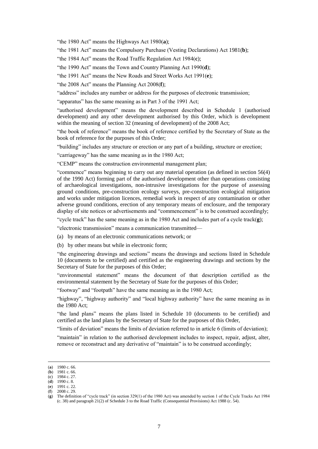"the 1980 Act" means the Highways Act 1980(**a**);

"the 1981 Act" means the Compulsory Purchase (Vesting Declarations) Act 1981(**b**);

"the 1984 Act" means the Road Traffic Regulation Act 1984(**c**);

"the 1990 Act" means the Town and Country Planning Act 1990(**d**);

"the 1991 Act" means the New Roads and Street Works Act 1991(**e**);

"the 2008 Act" means the Planning Act 2008(**f**);

"address" includes any number or address for the purposes of electronic transmission;

"apparatus" has the same meaning as in Part 3 of the 1991 Act;

"authorised development" means the development described in Schedule 1 (authorised development) and any other development authorised by this Order, which is development within the meaning of section 32 (meaning of development) of the 2008 Act;

"the book of reference" means the book of reference certified by the Secretary of State as the book of reference for the purposes of this Order;

"building" includes any structure or erection or any part of a building, structure or erection;

"carriageway" has the same meaning as in the 1980 Act;

"CEMP" means the construction environmental management plan;

"commence" means beginning to carry out any material operation (as defined in section 56(4) of the 1990 Act) forming part of the authorised development other than operations consisting of archaeological investigations, non-intrusive investigations for the purpose of assessing ground conditions, pre-construction ecology surveys, pre-construction ecological mitigation and works under mitigation licences, remedial work in respect of any contamination or other adverse ground conditions, erection of any temporary means of enclosure, and the temporary display of site notices or advertisements and "commencement" is to be construed accordingly;

"cycle track" has the same meaning as in the 1980 Act and includes part of a cycle track(**g**);

"electronic transmission" means a communication transmitted—

(a) by means of an electronic communications network; or

(b) by other means but while in electronic form;

"the engineering drawings and sections" means the drawings and sections listed in Schedule 10 (documents to be certified) and certified as the engineering drawings and sections by the Secretary of State for the purposes of this Order;

"environmental statement" means the document of that description certified as the environmental statement by the Secretary of State for the purposes of this Order;

"footway" and "footpath" have the same meaning as in the 1980 Act;

"highway", "highway authority" and "local highway authority" have the same meaning as in the 1980 Act;

"the land plans" means the plans listed in Schedule 10 (documents to be certified) and certified as the land plans by the Secretary of State for the purposes of this Order,

"limits of deviation" means the limits of deviation referred to in article 6 (limits of deviation);

"maintain" in relation to the authorised development includes to inspect, repair, adjust, alter, remove or reconstruct and any derivative of "maintain" is to be construed accordingly;

<sup>(</sup>**a**) 1980 c. 66.

<sup>(</sup>**b**) 1981 c. 66.

<sup>(</sup>**c**) 1984 c. 27.  $(d)$  1990 c. 8.

<sup>(</sup>**e**) 1991 c. 22.

<sup>(</sup>**f**) 2008 c. 29.

<sup>(</sup>**g**) The definition of "cycle track" (in section 329(1) of the 1980 Act) was amended by section 1 of the Cycle Tracks Act 1984 (c. 38) and paragraph 21(2) of Schedule 3 to the Road Traffic (Consequential Provisions) Act 1988 (c. 54).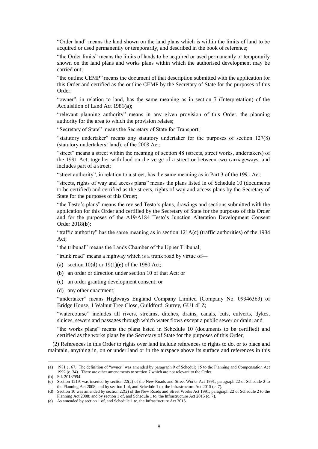"Order land" means the land shown on the land plans which is within the limits of land to be acquired or used permanently or temporarily, and described in the book of reference;

"the Order limits" means the limits of lands to be acquired or used permanently or temporarily shown on the land plans and works plans within which the authorised development may be carried out;

"the outline CEMP" means the document of that description submitted with the application for this Order and certified as the outline CEMP by the Secretary of State for the purposes of this Order;

"owner", in relation to land, has the same meaning as in section 7 (Interpretation) of the Acquisition of Land Act 1981(**a**);

"relevant planning authority" means in any given provision of this Order, the planning authority for the area to which the provision relates;

"Secretary of State" means the Secretary of State for Transport;

"statutory undertaker" means any statutory undertaker for the purposes of section 127(8) (statutory undertakers' land), of the 2008 Act;

"street" means a street within the meaning of section 48 (streets, street works, undertakers) of the 1991 Act, together with land on the verge of a street or between two carriageways, and includes part of a street;

"street authority", in relation to a street, has the same meaning as in Part 3 of the 1991 Act;

"streets, rights of way and access plans" means the plans listed in of Schedule 10 (documents to be certified) and certified as the streets, rights of way and access plans by the Secretary of State for the purposes of this Order;

"the Testo's plans" means the revised Testo's plans, drawings and sections submitted with the application for this Order and certified by the Secretary of State for the purposes of this Order and for the purposes of the A19/A184 Testo's Junction Alteration Development Consent Order 2018(**b**);

"traffic authority" has the same meaning as in section 121A(**c**) (traffic authorities) of the 1984 Act;

"the tribunal" means the Lands Chamber of the Upper Tribunal;

"trunk road" means a highway which is a trunk road by virtue of—

- (a) section 10(**d**) or 19(1)(**e**) of the 1980 Act;
- (b) an order or direction under section 10 of that Act; or
- (c) an order granting development consent; or
- (d) any other enactment;

"undertaker" means Highways England Company Limited (Company No. 09346363) of Bridge House, 1 Walnut Tree Close, Guildford, Surrey, GU1 4LZ;

"watercourse" includes all rivers, streams, ditches, drains, canals, cuts, culverts, dykes, sluices, sewers and passages through which water flows except a public sewer or drain; and

"the works plans" means the plans listed in Schedule 10 (documents to be certified) and certified as the works plans by the Secretary of State for the purposes of this Order,

(2) References in this Order to rights over land include references to rights to do, or to place and maintain, anything in, on or under land or in the airspace above its surface and references in this

<sup>(</sup>**a**) 1981 c. 67. The definition of "owner" was amended by paragraph 9 of Schedule 15 to the Planning and Compensation Act 1992 (c. 34). There are other amendments to section 7 which are not relevant to the Order.

<sup>(</sup>**b**) S.I. 2018/994.

<sup>(</sup>**c**) Section 121A was inserted by section 22(2) of the New Roads and Street Works Act 1991; paragraph 22 of Schedule 2 to the Planning Act 2008; and by section 1 of, and Schedule 1 to, the Infrastructure Act 2015 (c. 7).

<sup>(</sup>**d**) Section 10 was amended by section 22(2) of the New Roads and Street Works Act 1991; paragraph 22 of Schedule 2 to the Planning Act 2008; and by section 1 of, and Schedule 1 to, the Infrastructure Act 2015 (c. 7).

<sup>(</sup>**e**) As amended by section 1 of, and Schedule 1 to, the Infrastructure Act 2015.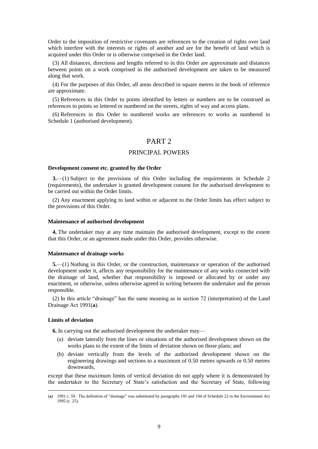Order to the imposition of restrictive covenants are references to the creation of rights over land which interfere with the interests or rights of another and are for the benefit of land which is acquired under this Order or is otherwise comprised in the Order land.

(3) All distances, directions and lengths referred to in this Order are approximate and distances between points on a work comprised in the authorised development are taken to be measured along that work.

(4) For the purposes of this Order, all areas described in square metres in the book of reference are approximate.

(5) References in this Order to points identified by letters or numbers are to be construed as references to points so lettered or numbered on the streets, rights of way and access plans.

(6) References in this Order to numbered works are references to works as numbered in Schedule 1 (authorised development).

### PART 2

### PRINCIPAL POWERS

### **Development consent etc. granted by the Order**

**3.**—(1) Subject to the provisions of this Order including the requirements in Schedule 2 (requirements), the undertaker is granted development consent for the authorised development to be carried out within the Order limits.

(2) Any enactment applying to land within or adjacent to the Order limits has effect subject to the provisions of this Order.

#### **Maintenance of authorised development**

**4.** The undertaker may at any time maintain the authorised development, except to the extent that this Order, or an agreement made under this Order, provides otherwise.

#### **Maintenance of drainage works**

**5.**—(1) Nothing in this Order, or the construction, maintenance or operation of the authorised development under it, affects any responsibility for the maintenance of any works connected with the drainage of land, whether that responsibility is imposed or allocated by or under any enactment, or otherwise, unless otherwise agreed in writing between the undertaker and the person responsible.

(2) In this article "drainage" has the same meaning as in section 72 (interpretation) of the Land Drainage Act 1991(**a**).

### **Limits of deviation**

 $\overline{a}$ 

**6.** In carrying out the authorised development the undertaker may—

- (a) deviate laterally from the lines or situations of the authorised development shown on the works plans to the extent of the limits of deviation shown on those plans; and
- (b) deviate vertically from the levels of the authorised development shown on the engineering drawings and sections to a maximum of 0.50 metres upwards or 0.50 metres downwards,

except that these maximum limits of vertical deviation do not apply where it is demonstrated by the undertaker to the Secretary of State's satisfaction and the Secretary of State, following

<sup>(</sup>**a**) 1991 c. 59. The definition of "drainage" was substituted by paragraphs 191 and 194 of Schedule 22 to the Environment Act 1995 (c. 25).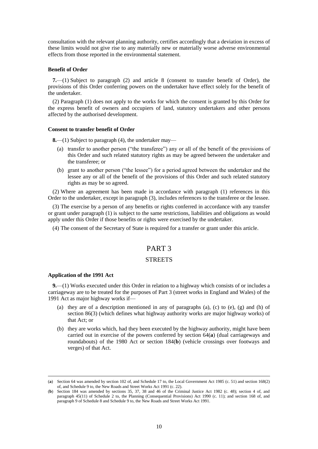consultation with the relevant planning authority, certifies accordingly that a deviation in excess of these limits would not give rise to any materially new or materially worse adverse environmental effects from those reported in the environmental statement.

### **Benefit of Order**

**7.**—(1) Subject to paragraph (2) and article 8 (consent to transfer benefit of Order), the provisions of this Order conferring powers on the undertaker have effect solely for the benefit of the undertaker.

(2) Paragraph (1) does not apply to the works for which the consent is granted by this Order for the express benefit of owners and occupiers of land, statutory undertakers and other persons affected by the authorised development.

#### **Consent to transfer benefit of Order**

**8.**—(1) Subject to paragraph (4), the undertaker may—

- (a) transfer to another person ("the transferee") any or all of the benefit of the provisions of this Order and such related statutory rights as may be agreed between the undertaker and the transferee; or
- (b) grant to another person ("the lessee") for a period agreed between the undertaker and the lessee any or all of the benefit of the provisions of this Order and such related statutory rights as may be so agreed.

(2) Where an agreement has been made in accordance with paragraph (1) references in this Order to the undertaker, except in paragraph (3), includes references to the transferee or the lessee.

(3) The exercise by a person of any benefits or rights conferred in accordance with any transfer or grant under paragraph (1) is subject to the same restrictions, liabilities and obligations as would apply under this Order if those benefits or rights were exercised by the undertaker.

(4) The consent of the Secretary of State is required for a transfer or grant under this article.

### PART 3

### **STREETS**

#### **Application of the 1991 Act**

 $\overline{a}$ 

**9.**—(1) Works executed under this Order in relation to a highway which consists of or includes a carriageway are to be treated for the purposes of Part 3 (street works in England and Wales) of the 1991 Act as major highway works if—

- (a) they are of a description mentioned in any of paragraphs (a), (c) to (e), (g) and (h) of section 86(3) (which defines what highway authority works are major highway works) of that Act; or
- (b) they are works which, had they been executed by the highway authority, might have been carried out in exercise of the powers conferred by section 64(**a**) (dual carriageways and roundabouts) of the 1980 Act or section 184(**b**) (vehicle crossings over footways and verges) of that Act.

<sup>(</sup>**a**) Section 64 was amended by section 102 of, and Schedule 17 to, the Local Government Act 1985 (c. 51) and section 168(2) of, and Schedule 9 to, the New Roads and Street Works Act 1991 (c. 22).

<sup>(</sup>**b**) Section 184 was amended by sections 35, 37, 38 and 46 of the Criminal Justice Act 1982 (c. 48); section 4 of, and paragraph 45(11) of Schedule 2 to, the Planning (Consequential Provisions) Act 1990 (c. 11); and section 168 of, and paragraph 9 of Schedule 8 and Schedule 9 to, the New Roads and Street Works Act 1991.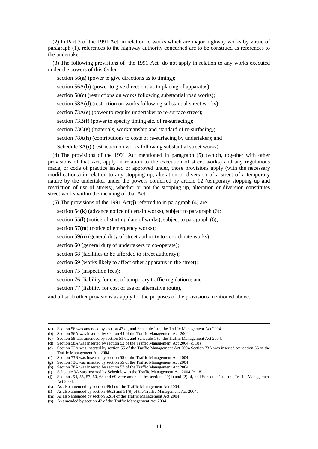(2) In Part 3 of the 1991 Act, in relation to works which are major highway works by virtue of paragraph (1), references to the highway authority concerned are to be construed as references to the undertaker.

(3) The following provisions of the 1991 Act do not apply in relation to any works executed under the powers of this Order—

section 56(**a**) (power to give directions as to timing);

section 56A(**b**) (power to give directions as to placing of apparatus);

section 58(c) (restrictions on works following substantial road works);

section 58A(**d**) (restriction on works following substantial street works);

section 73A(**e**) (power to require undertaker to re-surface street);

section 73B(**f**) (power to specify timing etc. of re-surfacing);

section 73C(**g**) (materials, workmanship and standard of re-surfacing);

section 78A(**h**) (contributions to costs of re-surfacing by undertaker); and

Schedule 3A(**i**) (restriction on works following substantial street works).

(4) The provisions of the 1991 Act mentioned in paragraph (5) (which, together with other provisions of that Act, apply in relation to the execution of street works) and any regulations made, or code of practice issued or approved under, those provisions apply (with the necessary modifications) in relation to any stopping up, alteration or diversion of a street of a temporary nature by the undertaker under the powers conferred by article 12 (temporary stopping up and restriction of use of streets), whether or not the stopping up, alteration or diversion constitutes street works within the meaning of that Act.

(5) The provisions of the 1991 Act(**j**) referred to in paragraph (4) are—

section 54(**k**) (advance notice of certain works), subject to paragraph (6);

section 55(**l**) (notice of starting date of works), subject to paragraph (6);

section 57(**m**) (notice of emergency works);

section 59(**n**) (general duty of street authority to co-ordinate works);

section 60 (general duty of undertakers to co-operate);

section 68 (facilities to be afforded to street authority);

section 69 (works likely to affect other apparatus in the street);

section 75 (inspection fees);

 $\overline{a}$ 

section 76 (liability for cost of temporary traffic regulation); and

section 77 (liability for cost of use of alternative route),

and all such other provisions as apply for the purposes of the provisions mentioned above.

(**n**) As amended by section 42 of the Traffic Management Act 2004.

<sup>(</sup>**a**) Section 56 was amended by section 43 of, and Schedule 1 to, the Traffic Management Act 2004.

<sup>(</sup>**b**) Section 56A was inserted by section 44 of the Traffic Management Act 2004.

<sup>(</sup>**c**) Section 58 was amended by section 51 of, and Schedule 1 to, the Traffic Management Act 2004.

<sup>(</sup>**d**) Section 58A was inserted by section 52 of the Traffic Management Act 2004 (c. 18).

<sup>(</sup>**e**) Section 73A was inserted by section 55 of the Traffic Management Act 2004.Section 73A was inserted by section 55 of the Traffic Management Act 2004.

<sup>(</sup>**f**) Section 73B was inserted by section 55 of the Traffic Management Act 2004.

<sup>(</sup>**g**) Section 73C was inserted by section 55 of the Traffic Management Act 2004.

<sup>(</sup>**h**) Section 78A was inserted by section 57 of the Traffic Management Act 2004.

<sup>(</sup>**i**) Schedule 3A was inserted by Schedule 4 to the Traffic Management Act 2004 (c. 18).

<sup>(</sup>**j**) Sections 54, 55, 57, 60, 68 and 69 were amended by sections 40(1) and (2) of, and Schedule 1 to, the Traffic Management Act 2004.

<sup>(</sup>**k**) As also amended by section 49(1) of the Traffic Management Act 2004.

<sup>(</sup>**l**) As also amended by section 49(2) and 51(9) of the Traffic Management Act 2004.

<sup>(</sup>**m**) As also amended by section 52(3) of the Traffic Management Act 2004.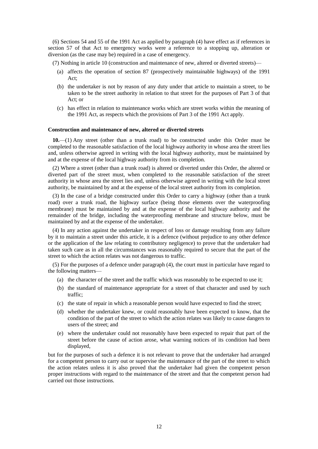(6) Sections 54 and 55 of the 1991 Act as applied by paragraph (4) have effect as if references in section 57 of that Act to emergency works were a reference to a stopping up, alteration or diversion (as the case may be) required in a case of emergency.

(7) Nothing in article 10 (construction and maintenance of new, altered or diverted streets)—

- (a) affects the operation of section 87 (prospectively maintainable highways) of the 1991 Act;
- (b) the undertaker is not by reason of any duty under that article to maintain a street, to be taken to be the street authority in relation to that street for the purposes of Part 3 of that Act; or
- (c) has effect in relation to maintenance works which are street works within the meaning of the 1991 Act, as respects which the provisions of Part 3 of the 1991 Act apply.

#### **Construction and maintenance of new, altered or diverted streets**

**10.**—(1) Any street (other than a trunk road) to be constructed under this Order must be completed to the reasonable satisfaction of the local highway authority in whose area the street lies and, unless otherwise agreed in writing with the local highway authority, must be maintained by and at the expense of the local highway authority from its completion.

(2) Where a street (other than a trunk road) is altered or diverted under this Order, the altered or diverted part of the street must, when completed to the reasonable satisfaction of the street authority in whose area the street lies and, unless otherwise agreed in writing with the local street authority, be maintained by and at the expense of the local street authority from its completion.

(3) In the case of a bridge constructed under this Order to carry a highway (other than a trunk road) over a trunk road, the highway surface (being those elements over the waterproofing membrane) must be maintained by and at the expense of the local highway authority and the remainder of the bridge, including the waterproofing membrane and structure below, must be maintained by and at the expense of the undertaker.

(4) In any action against the undertaker in respect of loss or damage resulting from any failure by it to maintain a street under this article, it is a defence (without prejudice to any other defence or the application of the law relating to contributory negligence) to prove that the undertaker had taken such care as in all the circumstances was reasonably required to secure that the part of the street to which the action relates was not dangerous to traffic.

(5) For the purposes of a defence under paragraph (4), the court must in particular have regard to the following matters—

- (a) the character of the street and the traffic which was reasonably to be expected to use it;
- (b) the standard of maintenance appropriate for a street of that character and used by such traffic;
- (c) the state of repair in which a reasonable person would have expected to find the street;
- (d) whether the undertaker knew, or could reasonably have been expected to know, that the condition of the part of the street to which the action relates was likely to cause dangers to users of the street; and
- (e) where the undertaker could not reasonably have been expected to repair that part of the street before the cause of action arose, what warning notices of its condition had been displayed,

but for the purposes of such a defence it is not relevant to prove that the undertaker had arranged for a competent person to carry out or supervise the maintenance of the part of the street to which the action relates unless it is also proved that the undertaker had given the competent person proper instructions with regard to the maintenance of the street and that the competent person had carried out those instructions.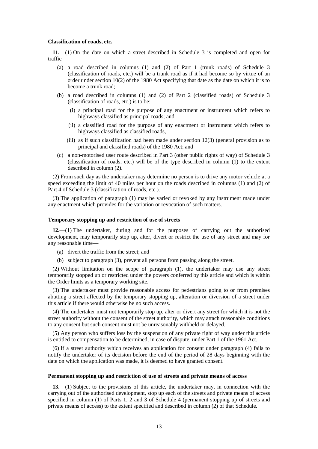#### **Classification of roads, etc.**

**11.**—(1) On the date on which a street described in Schedule 3 is completed and open for traffic—

- (a) a road described in columns (1) and (2) of Part 1 (trunk roads) of Schedule 3 (classification of roads, etc.) will be a trunk road as if it had become so by virtue of an order under section 10(2) of the 1980 Act specifying that date as the date on which it is to become a trunk road;
- (b) a road described in columns (1) and (2) of Part 2 (classified roads) of Schedule 3 (classification of roads, etc.) is to be:
	- (i) a principal road for the purpose of any enactment or instrument which refers to highways classified as principal roads; and
	- (ii) a classified road for the purpose of any enactment or instrument which refers to highways classified as classified roads,
	- (iii) as if such classification had been made under section 12(3) (general provision as to principal and classified roads) of the 1980 Act; and
- (c) a non-motorised user route described in Part 3 (other public rights of way) of Schedule 3 (classification of roads, etc.) will be of the type described in column (1) to the extent described in column (2).

(2) From such day as the undertaker may determine no person is to drive any motor vehicle at a speed exceeding the limit of 40 miles per hour on the roads described in columns (1) and (2) of Part 4 of Schedule 3 (classification of roads, etc.).

(3) The application of paragraph (1) may be varied or revoked by any instrument made under any enactment which provides for the variation or revocation of such matters.

### **Temporary stopping up and restriction of use of streets**

**12.**—(1) The undertaker, during and for the purposes of carrying out the authorised development, may temporarily stop up, alter, divert or restrict the use of any street and may for any reasonable time—

- (a) divert the traffic from the street; and
- (b) subject to paragraph (3), prevent all persons from passing along the street.

(2) Without limitation on the scope of paragraph (1), the undertaker may use any street temporarily stopped up or restricted under the powers conferred by this article and which is within the Order limits as a temporary working site.

(3) The undertaker must provide reasonable access for pedestrians going to or from premises abutting a street affected by the temporary stopping up, alteration or diversion of a street under this article if there would otherwise be no such access.

(4) The undertaker must not temporarily stop up, alter or divert any street for which it is not the street authority without the consent of the street authority, which may attach reasonable conditions to any consent but such consent must not be unreasonably withheld or delayed.

(5) Any person who suffers loss by the suspension of any private right of way under this article is entitled to compensation to be determined, in case of dispute, under Part 1 of the 1961 Act.

(6) If a street authority which receives an application for consent under paragraph (4) fails to notify the undertaker of its decision before the end of the period of 28 days beginning with the date on which the application was made, it is deemed to have granted consent.

### **Permanent stopping up and restriction of use of streets and private means of access**

**13.**—(1) Subject to the provisions of this article, the undertaker may, in connection with the carrying out of the authorised development, stop up each of the streets and private means of access specified in column (1) of Parts 1, 2 and 3 of Schedule 4 (permanent stopping up of streets and private means of access) to the extent specified and described in column (2) of that Schedule.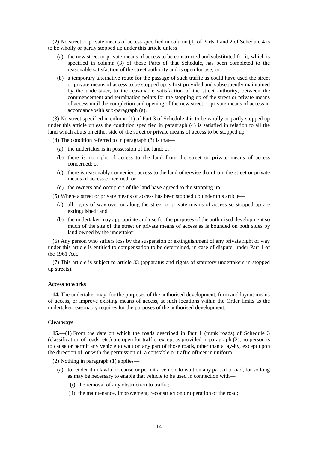(2) No street or private means of access specified in column (1) of Parts 1 and 2 of Schedule 4 is to be wholly or partly stopped up under this article unless—

- (a) the new street or private means of access to be constructed and substituted for it, which is specified in column (3) of those Parts of that Schedule, has been completed to the reasonable satisfaction of the street authority and is open for use; or
- (b) a temporary alternative route for the passage of such traffic as could have used the street or private means of access to be stopped up is first provided and subsequently maintained by the undertaker, to the reasonable satisfaction of the street authority, between the commencement and termination points for the stopping up of the street or private means of access until the completion and opening of the new street or private means of access in accordance with sub-paragraph (a).

(3) No street specified in column (1) of Part 3 of Schedule 4 is to be wholly or partly stopped up under this article unless the condition specified in paragraph (4) is satisfied in relation to all the land which abuts on either side of the street or private means of access to be stopped up.

(4) The condition referred to in paragraph (3) is that—

- (a) the undertaker is in possession of the land; or
- (b) there is no right of access to the land from the street or private means of access concerned; or
- (c) there is reasonably convenient access to the land otherwise than from the street or private means of access concerned; or
- (d) the owners and occupiers of the land have agreed to the stopping up.

(5) Where a street or private means of access has been stopped up under this article—

- (a) all rights of way over or along the street or private means of access so stopped up are extinguished; and
- (b) the undertaker may appropriate and use for the purposes of the authorised development so much of the site of the street or private means of access as is bounded on both sides by land owned by the undertaker.

(6) Any person who suffers loss by the suspension or extinguishment of any private right of way under this article is entitled to compensation to be determined, in case of dispute, under Part 1 of the 1961 Act.

(7) This article is subject to article 33 (apparatus and rights of statutory undertakers in stopped up streets).

#### **Access to works**

**14.** The undertaker may, for the purposes of the authorised development, form and layout means of access, or improve existing means of access, at such locations within the Order limits as the undertaker reasonably requires for the purposes of the authorised development.

#### **Clearways**

**15.**—(1) From the date on which the roads described in Part 1 (trunk roads) of Schedule 3 (classification of roads, etc.) are open for traffic, except as provided in paragraph (2), no person is to cause or permit any vehicle to wait on any part of those roads, other than a lay-by, except upon the direction of, or with the permission of, a constable or traffic officer in uniform.

(2) Nothing in paragraph (1) applies—

- (a) to render it unlawful to cause or permit a vehicle to wait on any part of a road, for so long as may be necessary to enable that vehicle to be used in connection with—
	- (i) the removal of any obstruction to traffic;
	- (ii) the maintenance, improvement, reconstruction or operation of the road;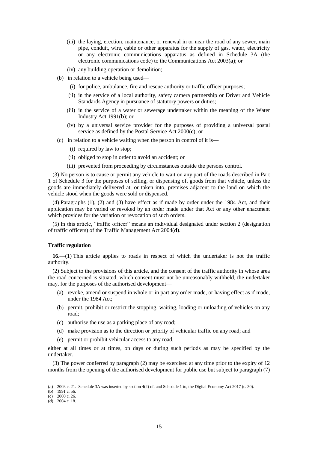- (iii) the laying, erection, maintenance, or renewal in or near the road of any sewer, main pipe, conduit, wire, cable or other apparatus for the supply of gas, water, electricity or any electronic communications apparatus as defined in Schedule 3A (the electronic communications code) to the Communications Act 2003(**a**); or
- (iv) any building operation or demolition;
- (b) in relation to a vehicle being used—
	- (i) for police, ambulance, fire and rescue authority or traffic officer purposes;
	- (ii) in the service of a local authority, safety camera partnership or Driver and Vehicle Standards Agency in pursuance of statutory powers or duties;
	- (iii) in the service of a water or sewerage undertaker within the meaning of the Water Industry Act 1991(**b**); or
	- (iv) by a universal service provider for the purposes of providing a universal postal service as defined by the Postal Service Act 2000(**c**); or
- (c) in relation to a vehicle waiting when the person in control of it is—
	- (i) required by law to stop;
	- (ii) obliged to stop in order to avoid an accident; or
	- (iii) prevented from proceeding by circumstances outside the persons control.

(3) No person is to cause or permit any vehicle to wait on any part of the roads described in Part 1 of Schedule 3 for the purposes of selling, or dispensing of, goods from that vehicle, unless the goods are immediately delivered at, or taken into, premises adjacent to the land on which the vehicle stood when the goods were sold or dispensed.

(4) Paragraphs (1), (2) and (3) have effect as if made by order under the 1984 Act, and their application may be varied or revoked by an order made under that Act or any other enactment which provides for the variation or revocation of such orders.

(5) In this article, "traffic officer" means an individual designated under section 2 (designation of traffic officers) of the Traffic Management Act 2004(**d**).

### **Traffic regulation**

**16.**—(1) This article applies to roads in respect of which the undertaker is not the traffic authority.

(2) Subject to the provisions of this article, and the consent of the traffic authority in whose area the road concerned is situated, which consent must not be unreasonably withheld, the undertaker may, for the purposes of the authorised development—

- (a) revoke, amend or suspend in whole or in part any order made, or having effect as if made, under the 1984 Act;
- (b) permit, prohibit or restrict the stopping, waiting, loading or unloading of vehicles on any road;
- (c) authorise the use as a parking place of any road;
- (d) make provision as to the direction or priority of vehicular traffic on any road; and
- (e) permit or prohibit vehicular access to any road,

either at all times or at times, on days or during such periods as may be specified by the undertaker.

(3) The power conferred by paragraph (2) may be exercised at any time prior to the expiry of 12 months from the opening of the authorised development for public use but subject to paragraph (7)

<sup>(</sup>**a**) 2003 c. 21. Schedule 3A was inserted by section 4(2) of, and Schedule 1 to, the Digital Economy Act 2017 (c. 30).

<sup>(</sup>**b**) 1991 c. 56.

<sup>(</sup>**c**) 2000 c. 26.

<sup>(</sup>**d**) 2004 c. 18.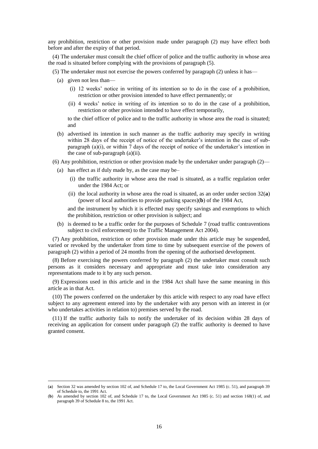any prohibition, restriction or other provision made under paragraph (2) may have effect both before and after the expiry of that period.

(4) The undertaker must consult the chief officer of police and the traffic authority in whose area the road is situated before complying with the provisions of paragraph (5).

- (5) The undertaker must not exercise the powers conferred by paragraph (2) unless it has—
	- (a) given not less than—

 $\overline{a}$ 

- (i) 12 weeks' notice in writing of its intention so to do in the case of a prohibition, restriction or other provision intended to have effect permanently; or
- (ii) 4 weeks' notice in writing of its intention so to do in the case of a prohibition, restriction or other provision intended to have effect temporarily,

to the chief officer of police and to the traffic authority in whose area the road is situated; and

- (b) advertised its intention in such manner as the traffic authority may specify in writing within 28 days of the receipt of notice of the undertaker's intention in the case of subparagraph  $(a)(i)$ , or within 7 days of the receipt of notice of the undertaker's intention in the case of sub-paragraph (a)(ii).
- (6) Any prohibition, restriction or other provision made by the undertaker under paragraph  $(2)$ 
	- (a) has effect as if duly made by, as the case may be–
		- (i) the traffic authority in whose area the road is situated, as a traffic regulation order under the 1984 Act; or
		- (ii) the local authority in whose area the road is situated, as an order under section  $32(a)$ (power of local authorities to provide parking spaces)(**b**) of the 1984 Act,

and the instrument by which it is effected may specify savings and exemptions to which the prohibition, restriction or other provision is subject; and

(b) is deemed to be a traffic order for the purposes of Schedule 7 (road traffic contraventions subject to civil enforcement) to the Traffic Management Act 2004).

(7) Any prohibition, restriction or other provision made under this article may be suspended, varied or revoked by the undertaker from time to time by subsequent exercise of the powers of paragraph (2) within a period of 24 months from the opening of the authorised development.

(8) Before exercising the powers conferred by paragraph (2) the undertaker must consult such persons as it considers necessary and appropriate and must take into consideration any representations made to it by any such person.

(9) Expressions used in this article and in the 1984 Act shall have the same meaning in this article as in that Act.

(10) The powers conferred on the undertaker by this article with respect to any road have effect subject to any agreement entered into by the undertaker with any person with an interest in (or who undertakes activities in relation to) premises served by the road.

(11) If the traffic authority fails to notify the undertaker of its decision within 28 days of receiving an application for consent under paragraph (2) the traffic authority is deemed to have granted consent.

<sup>(</sup>**a**) Section 32 was amended by section 102 of, and Schedule 17 to, the Local Government Act 1985 (c. 51), and paragraph 39 of Schedule to, the 1991 Act.

<sup>(</sup>**b**) As amended by section 102 of, and Schedule 17 to, the Local Government Act 1985 (c. 51) and section 168(1) of, and paragraph 39 of Schedule 8 to, the 1991 Act.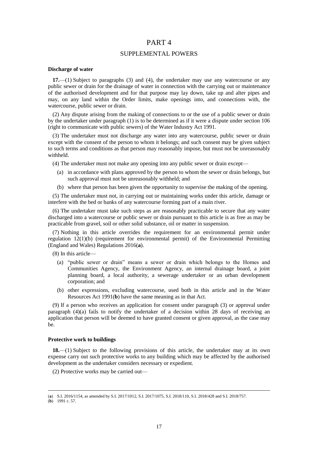### PART 4

### SUPPLEMENTAL POWERS

#### **Discharge of water**

**17.**—(1) Subject to paragraphs (3) and (4), the undertaker may use any watercourse or any public sewer or drain for the drainage of water in connection with the carrying out or maintenance of the authorised development and for that purpose may lay down, take up and alter pipes and may, on any land within the Order limits, make openings into, and connections with, the watercourse, public sewer or drain.

(2) Any dispute arising from the making of connections to or the use of a public sewer or drain by the undertaker under paragraph (1) is to be determined as if it were a dispute under section 106 (right to communicate with public sewers) of the Water Industry Act 1991.

(3) The undertaker must not discharge any water into any watercourse, public sewer or drain except with the consent of the person to whom it belongs; and such consent may be given subject to such terms and conditions as that person may reasonably impose, but must not be unreasonably withheld.

(4) The undertaker must not make any opening into any public sewer or drain except—

- (a) in accordance with plans approved by the person to whom the sewer or drain belongs, but such approval must not be unreasonably withheld; and
- (b) where that person has been given the opportunity to supervise the making of the opening.

(5) The undertaker must not, in carrying out or maintaining works under this article, damage or interfere with the bed or banks of any watercourse forming part of a main river.

(6) The undertaker must take such steps as are reasonably practicable to secure that any water discharged into a watercourse or public sewer or drain pursuant to this article is as free as may be practicable from gravel, soil or other solid substance, oil or matter in suspension.

(7) Nothing in this article overrides the requirement for an environmental permit under regulation 12(1)(b) (requirement for environmental permit) of the Environmental Permitting (England and Wales) Regulations 2016(**a**).

(8) In this article—

- (a) "public sewer or drain" means a sewer or drain which belongs to the Homes and Communities Agency, the Environment Agency, an internal drainage board, a joint planning board, a local authority, a sewerage undertaker or an urban development corporation; and
- (b) other expressions, excluding watercourse, used both in this article and in the Water Resources Act 1991(**b**) have the same meaning as in that Act.

(9) If a person who receives an application for consent under paragraph (3) or approval under paragraph (4)(a) fails to notify the undertaker of a decision within 28 days of receiving an application that person will be deemed to have granted consent or given approval, as the case may be.

#### **Protective work to buildings**

**18.**—(1) Subject to the following provisions of this article, the undertaker may at its own expense carry out such protective works to any building which may be affected by the authorised development as the undertaker considers necessary or expedient.

(2) Protective works may be carried out—

<sup>(</sup>**a**) S.I. 2016/1154, as amended by S.I. 2017/1012, S.I. 2017/1075, S.I. 2018/110, S.I. 2018/428 and S.I. 2018/757.

<sup>(</sup>**b**) 1991 c. 57.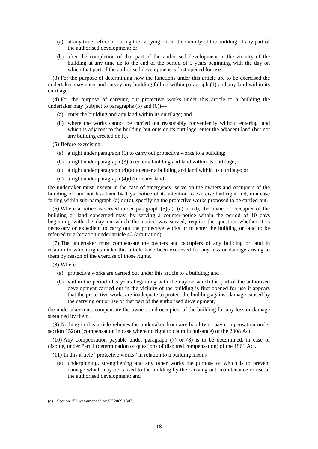- (a) at any time before or during the carrying out in the vicinity of the building of any part of the authorised development; or
- (b) after the completion of that part of the authorised development in the vicinity of the building at any time up to the end of the period of 5 years beginning with the day on which that part of the authorised development is first opened for use.

(3) For the purpose of determining how the functions under this article are to be exercised the undertaker may enter and survey any building falling within paragraph (1) and any land within its curtilage.

(4) For the purpose of carrying out protective works under this article to a building the undertaker may (subject to paragraphs (5) and (6))—

- (a) enter the building and any land within its curtilage; and
- (b) where the works cannot be carried out reasonably conveniently without entering land which is adjacent to the building but outside its curtilage, enter the adjacent land (but not any building erected on it).

(5) Before exercising—

- (a) a right under paragraph (1) to carry out protective works to a building;
- (b) a right under paragraph (3) to enter a building and land within its curtilage;
- (c) a right under paragraph (4)(a) to enter a building and land within its curtilage; or
- (d) a right under paragraph (4)(b) to enter land,

the undertaker must, except in the case of emergency, serve on the owners and occupiers of the building or land not less than 14 days' notice of its intention to exercise that right and, in a case falling within sub-paragraph (a) or (c), specifying the protective works proposed to be carried out.

(6) Where a notice is served under paragraph  $(5)(a)$ , (c) or (d), the owner or occupier of the building or land concerned may, by serving a counter-notice within the period of 10 days beginning with the day on which the notice was served, require the question whether it is necessary or expedient to carry out the protective works or to enter the building or land to be referred to arbitration under article 43 (arbitration).

(7) The undertaker must compensate the owners and occupiers of any building or land in relation to which rights under this article have been exercised for any loss or damage arising to them by reason of the exercise of those rights.

(8) Where—

- (a) protective works are carried out under this article to a building; and
- (b) within the period of 5 years beginning with the day on which the part of the authorised development carried out in the vicinity of the building is first opened for use it appears that the protective works are inadequate to protect the building against damage caused by the carrying out or use of that part of the authorised development,

the undertaker must compensate the owners and occupiers of the building for any loss or damage sustained by them.

(9) Nothing in this article relieves the undertaker from any liability to pay compensation under section 152(**a**) (compensation in case where no right to claim in nuisance) of the 2008 Act.

(10) Any compensation payable under paragraph (7) or (8) is to be determined, in case of dispute, under Part 1 (determination of questions of disputed compensation) of the 1961 Act.

- (11) In this article "protective works" in relation to a building means—
	- (a) underpinning, strengthening and any other works the purpose of which is to prevent damage which may be caused to the building by the carrying out, maintenance or use of the authorised development; and

<sup>(</sup>**a**) Section 152 was amended by S.I 2009/1307.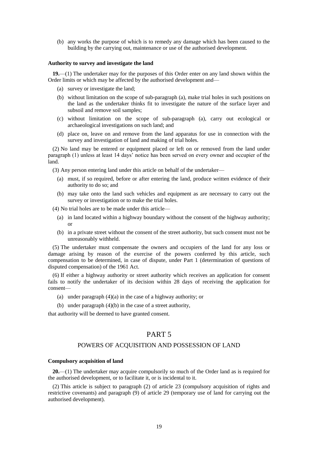(b) any works the purpose of which is to remedy any damage which has been caused to the building by the carrying out, maintenance or use of the authorised development.

#### **Authority to survey and investigate the land**

**19.**—(1) The undertaker may for the purposes of this Order enter on any land shown within the Order limits or which may be affected by the authorised development and—

- (a) survey or investigate the land;
- (b) without limitation on the scope of sub-paragraph (a), make trial holes in such positions on the land as the undertaker thinks fit to investigate the nature of the surface layer and subsoil and remove soil samples;
- (c) without limitation on the scope of sub-paragraph (a), carry out ecological or archaeological investigations on such land; and
- (d) place on, leave on and remove from the land apparatus for use in connection with the survey and investigation of land and making of trial holes.

(2) No land may be entered or equipment placed or left on or removed from the land under paragraph (1) unless at least 14 days' notice has been served on every owner and occupier of the land.

(3) Any person entering land under this article on behalf of the undertaker—

- (a) must, if so required, before or after entering the land, produce written evidence of their authority to do so; and
- (b) may take onto the land such vehicles and equipment as are necessary to carry out the survey or investigation or to make the trial holes.

(4) No trial holes are to be made under this article—

- (a) in land located within a highway boundary without the consent of the highway authority; or
- (b) in a private street without the consent of the street authority, but such consent must not be unreasonably withheld.

(5) The undertaker must compensate the owners and occupiers of the land for any loss or damage arising by reason of the exercise of the powers conferred by this article, such compensation to be determined, in case of dispute, under Part 1 (determination of questions of disputed compensation) of the 1961 Act.

(6) If either a highway authority or street authority which receives an application for consent fails to notify the undertaker of its decision within 28 days of receiving the application for consent—

- (a) under paragraph (4)(a) in the case of a highway authority; or
- (b) under paragraph (4)(b) in the case of a street authority,

that authority will be deemed to have granted consent.

### PART 5

### POWERS OF ACQUISITION AND POSSESSION OF LAND

### **Compulsory acquisition of land**

**20.**—(1) The undertaker may acquire compulsorily so much of the Order land as is required for the authorised development, or to facilitate it, or is incidental to it.

(2) This article is subject to paragraph (2) of article 23 (compulsory acquisition of rights and restrictive covenants) and paragraph (9) of article 29 (temporary use of land for carrying out the authorised development).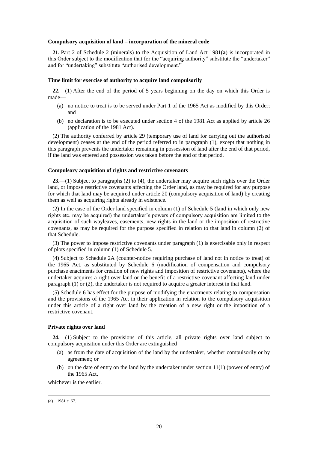#### **Compulsory acquisition of land – incorporation of the mineral code**

**21.** Part 2 of Schedule 2 (minerals) to the Acquisition of Land Act 1981(**a**) is incorporated in this Order subject to the modification that for the "acquiring authority" substitute the "undertaker" and for "undertaking" substitute "authorised development."

#### **Time limit for exercise of authority to acquire land compulsorily**

**22.**—(1) After the end of the period of 5 years beginning on the day on which this Order is made—

- (a) no notice to treat is to be served under Part 1 of the 1965 Act as modified by this Order; and
- (b) no declaration is to be executed under section 4 of the 1981 Act as applied by article 26 (application of the 1981 Act).

(2) The authority conferred by article 29 (temporary use of land for carrying out the authorised development) ceases at the end of the period referred to in paragraph (1), except that nothing in this paragraph prevents the undertaker remaining in possession of land after the end of that period, if the land was entered and possession was taken before the end of that period.

#### **Compulsory acquisition of rights and restrictive covenants**

**23.**—(1) Subject to paragraphs (2) to (4), the undertaker may acquire such rights over the Order land, or impose restrictive covenants affecting the Order land, as may be required for any purpose for which that land may be acquired under article 20 (compulsory acquisition of land) by creating them as well as acquiring rights already in existence.

(2) In the case of the Order land specified in column (1) of Schedule 5 (land in which only new rights etc. may be acquired) the undertaker's powers of compulsory acquisition are limited to the acquisition of such wayleaves, easements, new rights in the land or the imposition of restrictive covenants, as may be required for the purpose specified in relation to that land in column (2) of that Schedule.

(3) The power to impose restrictive covenants under paragraph (1) is exercisable only in respect of plots specified in column (1) of Schedule 5.

(4) Subject to Schedule 2A (counter-notice requiring purchase of land not in notice to treat) of the 1965 Act, as substituted by Schedule 6 (modification of compensation and compulsory purchase enactments for creation of new rights and imposition of restrictive covenants), where the undertaker acquires a right over land or the benefit of a restrictive covenant affecting land under paragraph (1) or (2), the undertaker is not required to acquire a greater interest in that land.

(5) Schedule 6 has effect for the purpose of modifying the enactments relating to compensation and the provisions of the 1965 Act in their application in relation to the compulsory acquisition under this article of a right over land by the creation of a new right or the imposition of a restrictive covenant.

### **Private rights over land**

**24.**—(1) Subject to the provisions of this article, all private rights over land subject to compulsory acquisition under this Order are extinguished—

- (a) as from the date of acquisition of the land by the undertaker, whether compulsorily or by agreement; or
- (b) on the date of entry on the land by the undertaker under section  $11(1)$  (power of entry) of the 1965 Act,

whichever is the earlier.

<sup>(</sup>**a**) 1981 c. 67.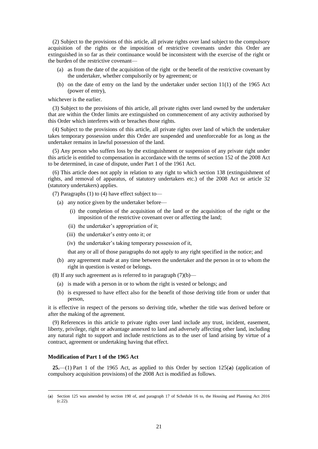(2) Subject to the provisions of this article, all private rights over land subject to the compulsory acquisition of the rights or the imposition of restrictive covenants under this Order are extinguished in so far as their continuance would be inconsistent with the exercise of the right or the burden of the restrictive covenant—

- (a) as from the date of the acquisition of the right or the benefit of the restrictive covenant by the undertaker, whether compulsorily or by agreement; or
- (b) on the date of entry on the land by the undertaker under section 11(1) of the 1965 Act (power of entry),

whichever is the earlier.

(3) Subject to the provisions of this article, all private rights over land owned by the undertaker that are within the Order limits are extinguished on commencement of any activity authorised by this Order which interferes with or breaches those rights.

(4) Subject to the provisions of this article, all private rights over land of which the undertaker takes temporary possession under this Order are suspended and unenforceable for as long as the undertaker remains in lawful possession of the land.

(5) Any person who suffers loss by the extinguishment or suspension of any private right under this article is entitled to compensation in accordance with the terms of section 152 of the 2008 Act to be determined, in case of dispute, under Part 1 of the 1961 Act.

(6) This article does not apply in relation to any right to which section 138 (extinguishment of rights, and removal of apparatus, of statutory undertakers etc.) of the 2008 Act or article 32 (statutory undertakers) applies.

(7) Paragraphs (1) to (4) have effect subject to—

- (a) any notice given by the undertaker before—
	- (i) the completion of the acquisition of the land or the acquisition of the right or the imposition of the restrictive covenant over or affecting the land;
	- (ii) the undertaker's appropriation of it;
	- (iii) the undertaker's entry onto it; or
	- (iv) the undertaker's taking temporary possession of it,
	- that any or all of those paragraphs do not apply to any right specified in the notice; and
- (b) any agreement made at any time between the undertaker and the person in or to whom the right in question is vested or belongs.

(8) If any such agreement as is referred to in paragraph  $(7)(b)$ —

- (a) is made with a person in or to whom the right is vested or belongs; and
- (b) is expressed to have effect also for the benefit of those deriving title from or under that person,

it is effective in respect of the persons so deriving title, whether the title was derived before or after the making of the agreement.

(9) References in this article to private rights over land include any trust, incident, easement, liberty, privilege, right or advantage annexed to land and adversely affecting other land, including any natural right to support and include restrictions as to the user of land arising by virtue of a contract, agreement or undertaking having that effect.

### **Modification of Part 1 of the 1965 Act**

 $\overline{a}$ 

**25.**—(1) Part 1 of the 1965 Act, as applied to this Order by section 125(**a**) (application of compulsory acquisition provisions) of the 2008 Act is modified as follows.

<sup>(</sup>**a**) Section 125 was amended by section 190 of, and paragraph 17 of Schedule 16 to, the Housing and Planning Act 2016 (c.22).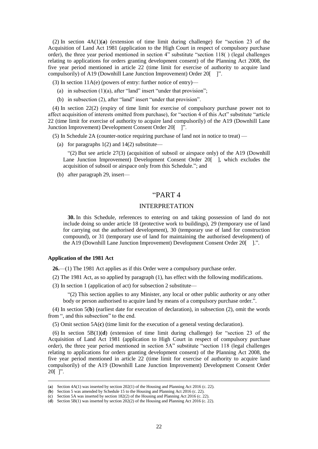(2) In section 4A(1)(**a**) (extension of time limit during challenge) for "section 23 of the Acquisition of Land Act 1981 (application to the High Court in respect of compulsory purchase order), the three year period mentioned in section 4" substitute "section 118( ) (legal challenges relating to applications for orders granting development consent) of the Planning Act 2008, the five year period mentioned in article 22 (time limit for exercise of authority to acquire land compulsorily) of A19 (Downhill Lane Junction Improvement) Order 20[ ]".

(3) In section 11A(e) (powers of entry: further notice of entry)—

- (a) in subsection  $(1)(a)$ , after "land" insert "under that provision";
- (b) in subsection (2), after "land" insert "under that provision".

(4) In section 22(2) (expiry of time limit for exercise of compulsory purchase power not to affect acquisition of interests omitted from purchase), for "section 4 of this Act" substitute "article 22 (time limit for exercise of authority to acquire land compulsorily) of the A19 (Downhill Lane Junction Improvement) Development Consent Order 20[ ]".

(5) In Schedule 2A (counter-notice requiring purchase of land not in notice to treat) —

(a) for paragraphs  $1(2)$  and  $14(2)$  substitute—

"(2) But see article 27(3) (acquisition of subsoil or airspace only) of the A19 (Downhill Lane Junction Improvement) Development Consent Order 20[ ], which excludes the acquisition of subsoil or airspace only from this Schedule."; and

(b) after paragraph 29, insert—

### "PART 4

#### INTERPRETATION

**30.** In this Schedule, references to entering on and taking possession of land do not include doing so under article 18 (protective work to buildings), 29 (temporary use of land for carrying out the authorised development), 30 (temporary use of land for construction compound), or 31 (temporary use of land for maintaining the authorised development) of the A19 (Downhill Lane Junction Improvement) Development Consent Order 20[ ].".

#### **Application of the 1981 Act**

 $\overline{a}$ 

**26.**—(1) The 1981 Act applies as if this Order were a compulsory purchase order.

(2) The 1981 Act, as so applied by paragraph (1), has effect with the following modifications.

(3) In section 1 (application of act) for subsection 2 substitute—

"(2) This section applies to any Minister, any local or other public authority or any other body or person authorised to acquire land by means of a compulsory purchase order.".

(4) In section 5(**b**) (earliest date for execution of declaration), in subsection (2), omit the words from ", and this subsection" to the end.

(5) Omit section 5A(**c**) (time limit for the execution of a general vesting declaration).

(6) In section 5B(1)(**d**) (extension of time limit during challenge) for "section 23 of the Acquisition of Land Act 1981 (application to High Court in respect of compulsory purchase order), the three year period mentioned in section 5A" substitute "section 118 (legal challenges relating to applications for orders granting development consent) of the Planning Act 2008, the five year period mentioned in article 22 (time limit for exercise of authority to acquire land compulsorily) of the A19 (Downhill Lane Junction Improvement) Development Consent Order 20[ ]".

<sup>(</sup>**a**) Section 4A(1) was inserted by section 202(1) of the Housing and Planning Act 2016 (c. 22).

<sup>(</sup>**b**) Section 5 was amended by Schedule 15 to the Housing and Planning Act 2016 (c. 22).

<sup>(</sup>**c**) Section 5A was inserted by section 182(2) of the Housing and Planning Act 2016 (c. 22).

<sup>(</sup>**d**) Section 5B(1) was inserted by section 202(2) of the Housing and Planning Act 2016 (c. 22).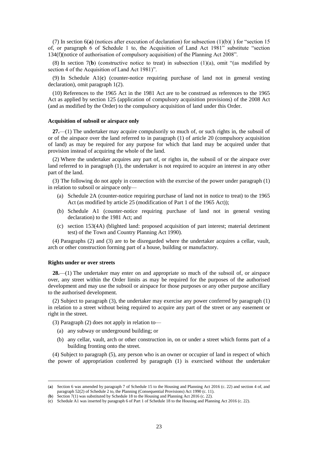(7) In section 6(**a**) (notices after execution of declaration) for subsection (1)(b)( ) for "section 15 of, or paragraph 6 of Schedule 1 to, the Acquisition of Land Act 1981" substitute "section 134(f)(notice of authorisation of compulsory acquisition) of the Planning Act 2008".

(8) In section 7(**b**) (constructive notice to treat) in subsection (1)(a), omit "(as modified by section 4 of the Acquisition of Land Act 1981)".

(9) In Schedule A1(**c**) (counter-notice requiring purchase of land not in general vesting declaration), omit paragraph 1(2).

(10) References to the 1965 Act in the 1981 Act are to be construed as references to the 1965 Act as applied by section 125 (application of compulsory acquisition provisions) of the 2008 Act (and as modified by the Order) to the compulsory acquisition of land under this Order.

#### **Acquisition of subsoil or airspace only**

**27.**—(1) The undertaker may acquire compulsorily so much of, or such rights in, the subsoil of or of the airspace over the land referred to in paragraph (1) of article 20 (compulsory acquisition of land) as may be required for any purpose for which that land may be acquired under that provision instead of acquiring the whole of the land.

(2) Where the undertaker acquires any part of, or rights in, the subsoil of or the airspace over land referred to in paragraph (1), the undertaker is not required to acquire an interest in any other part of the land.

(3) The following do not apply in connection with the exercise of the power under paragraph (1) in relation to subsoil or airspace only—

- (a) Schedule 2A (counter-notice requiring purchase of land not in notice to treat) to the 1965 Act (as modified by article 25 (modification of Part 1 of the 1965 Act));
- (b) Schedule A1 (counter-notice requiring purchase of land not in general vesting declaration) to the 1981 Act; and
- (c) section 153(4A) (blighted land: proposed acquisition of part interest; material detriment test) of the Town and Country Planning Act 1990).

(4) Paragraphs (2) and (3) are to be disregarded where the undertaker acquires a cellar, vault, arch or other construction forming part of a house, building or manufactory.

#### **Rights under or over streets**

 $\overline{a}$ 

**28.**—(1) The undertaker may enter on and appropriate so much of the subsoil of, or airspace over, any street within the Order limits as may be required for the purposes of the authorised development and may use the subsoil or airspace for those purposes or any other purpose ancillary to the authorised development.

(2) Subject to paragraph (3), the undertaker may exercise any power conferred by paragraph (1) in relation to a street without being required to acquire any part of the street or any easement or right in the street.

(3) Paragraph (2) does not apply in relation to—

- (a) any subway or underground building; or
- (b) any cellar, vault, arch or other construction in, on or under a street which forms part of a building fronting onto the street.

(4) Subject to paragraph (5), any person who is an owner or occupier of land in respect of which the power of appropriation conferred by paragraph (1) is exercised without the undertaker

<sup>(</sup>**a**) Section 6 was amended by paragraph 7 of Schedule 15 to the Housing and Planning Act 2016 (c. 22) and section 4 of, and paragraph 52(2) of Schedule 2 to, the Planning (Consequential Provisions) Act 1990 (c. 11).

<sup>(</sup>**b**) Section 7(1) was substituted by Schedule 18 to the Housing and Planning Act 2016 (c. 22).

<sup>(</sup>**c**) Schedule A1 was inserted by paragraph 6 of Part 1 of Schedule 18 to the Housing and Planning Act 2016 (c. 22).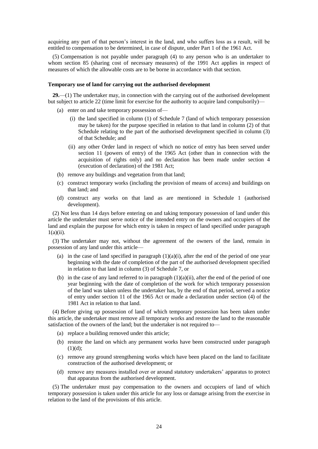acquiring any part of that person's interest in the land, and who suffers loss as a result, will be entitled to compensation to be determined, in case of dispute, under Part 1 of the 1961 Act.

(5) Compensation is not payable under paragraph (4) to any person who is an undertaker to whom section 85 (sharing cost of necessary measures) of the 1991 Act applies in respect of measures of which the allowable costs are to be borne in accordance with that section.

### **Temporary use of land for carrying out the authorised development**

**29.**—(1) The undertaker may, in connection with the carrying out of the authorised development but subject to article 22 (time limit for exercise for the authority to acquire land compulsorily)-

- (a) enter on and take temporary possession of—
	- (i) the land specified in column (1) of Schedule 7 (land of which temporary possession may be taken) for the purpose specified in relation to that land in column (2) of that Schedule relating to the part of the authorised development specified in column (3) of that Schedule; and
	- (ii) any other Order land in respect of which no notice of entry has been served under section 11 (powers of entry) of the 1965 Act (other than in connection with the acquisition of rights only) and no declaration has been made under section 4 (execution of declaration) of the 1981 Act;
- (b) remove any buildings and vegetation from that land;
- (c) construct temporary works (including the provision of means of access) and buildings on that land; and
- (d) construct any works on that land as are mentioned in Schedule 1 (authorised development).

(2) Not less than 14 days before entering on and taking temporary possession of land under this article the undertaker must serve notice of the intended entry on the owners and occupiers of the land and explain the purpose for which entry is taken in respect of land specified under paragraph  $1(a)(ii)$ .

(3) The undertaker may not, without the agreement of the owners of the land, remain in possession of any land under this article—

- (a) in the case of land specified in paragraph  $(1)(a)(i)$ , after the end of the period of one year beginning with the date of completion of the part of the authorised development specified in relation to that land in column (3) of Schedule 7, or
- (b) in the case of any land referred to in paragraph  $(1)(a)(ii)$ , after the end of the period of one year beginning with the date of completion of the work for which temporary possession of the land was taken unless the undertaker has, by the end of that period, served a notice of entry under section 11 of the 1965 Act or made a declaration under section (4) of the 1981 Act in relation to that land.

(4) Before giving up possession of land of which temporary possession has been taken under this article, the undertaker must remove all temporary works and restore the land to the reasonable satisfaction of the owners of the land; but the undertaker is not required to—

- (a) replace a building removed under this article;
- (b) restore the land on which any permanent works have been constructed under paragraph  $(1)(d);$
- (c) remove any ground strengthening works which have been placed on the land to facilitate construction of the authorised development; or
- (d) remove any measures installed over or around statutory undertakers' apparatus to protect that apparatus from the authorised development.

(5) The undertaker must pay compensation to the owners and occupiers of land of which temporary possession is taken under this article for any loss or damage arising from the exercise in relation to the land of the provisions of this article.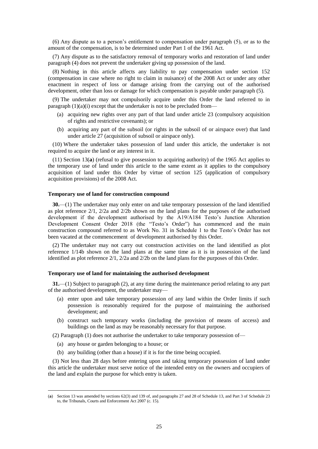(6) Any dispute as to a person's entitlement to compensation under paragraph (5), or as to the amount of the compensation, is to be determined under Part 1 of the 1961 Act.

(7) Any dispute as to the satisfactory removal of temporary works and restoration of land under paragraph (4) does not prevent the undertaker giving up possession of the land.

(8) Nothing in this article affects any liability to pay compensation under section 152 (compensation in case where no right to claim in nuisance) of the 2008 Act or under any other enactment in respect of loss or damage arising from the carrying out of the authorised development, other than loss or damage for which compensation is payable under paragraph (5).

(9) The undertaker may not compulsorily acquire under this Order the land referred to in paragraph  $(1)(a)(i)$  except that the undertaker is not to be precluded from—

- (a) acquiring new rights over any part of that land under article 23 (compulsory acquisition of rights and restrictive covenants); or
- (b) acquiring any part of the subsoil (or rights in the subsoil of or airspace over) that land under article 27 (acquisition of subsoil or airspace only).

(10) Where the undertaker takes possession of land under this article, the undertaker is not required to acquire the land or any interest in it.

(11) Section 13(**a**) (refusal to give possession to acquiring authority) of the 1965 Act applies to the temporary use of land under this article to the same extent as it applies to the compulsory acquisition of land under this Order by virtue of section 125 (application of compulsory acquisition provisions) of the 2008 Act.

#### **Temporary use of land for construction compound**

**30.**—(1) The undertaker may only enter on and take temporary possession of the land identified as plot reference 2/1, 2/2a and 2/2b shown on the land plans for the purposes of the authorised development if the development authorised by the A19/A184 Testo's Junction Alteration Development Consent Order 2018 (the "Testo's Order") has commenced and the main construction compound referred to as Work No. 31 in Schedule 1 to the Testo's Order has not been vacated at the commencement of development authorised by this Order.

(2) The undertaker may not carry out construction activities on the land identified as plot reference 1/14b shown on the land plans at the same time as it is in possession of the land identified as plot reference 2/1, 2/2a and 2/2b on the land plans for the purposes of this Order.

### **Temporary use of land for maintaining the authorised development**

**31.**—(1) Subject to paragraph (2), at any time during the maintenance period relating to any part of the authorised development, the undertaker may—

- (a) enter upon and take temporary possession of any land within the Order limits if such possession is reasonably required for the purpose of maintaining the authorised development; and
- (b) construct such temporary works (including the provision of means of access) and buildings on the land as may be reasonably necessary for that purpose.
- (2) Paragraph (1) does not authorise the undertaker to take temporary possession of—
	- (a) any house or garden belonging to a house; or

 $\overline{a}$ 

(b) any building (other than a house) if it is for the time being occupied.

(3) Not less than 28 days before entering upon and taking temporary possession of land under this article the undertaker must serve notice of the intended entry on the owners and occupiers of the land and explain the purpose for which entry is taken.

<sup>(</sup>**a**) Section 13 was amended by sections 62(3) and 139 of, and paragraphs 27 and 28 of Schedule 13, and Part 3 of Schedule 23 to, the Tribunals, Courts and Enforcement Act 2007 (c. 15).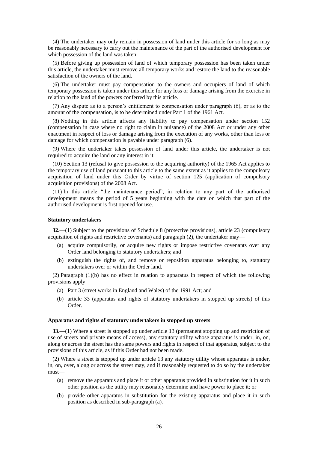(4) The undertaker may only remain in possession of land under this article for so long as may be reasonably necessary to carry out the maintenance of the part of the authorised development for which possession of the land was taken.

(5) Before giving up possession of land of which temporary possession has been taken under this article, the undertaker must remove all temporary works and restore the land to the reasonable satisfaction of the owners of the land.

(6) The undertaker must pay compensation to the owners and occupiers of land of which temporary possession is taken under this article for any loss or damage arising from the exercise in relation to the land of the powers conferred by this article.

(7) Any dispute as to a person's entitlement to compensation under paragraph (6), or as to the amount of the compensation, is to be determined under Part 1 of the 1961 Act.

(8) Nothing in this article affects any liability to pay compensation under section 152 (compensation in case where no right to claim in nuisance) of the 2008 Act or under any other enactment in respect of loss or damage arising from the execution of any works, other than loss or damage for which compensation is payable under paragraph (6).

(9) Where the undertaker takes possession of land under this article, the undertaker is not required to acquire the land or any interest in it.

(10) Section 13 (refusal to give possession to the acquiring authority) of the 1965 Act applies to the temporary use of land pursuant to this article to the same extent as it applies to the compulsory acquisition of land under this Order by virtue of section 125 (application of compulsory acquisition provisions) of the 2008 Act.

(11) In this article "the maintenance period", in relation to any part of the authorised development means the period of 5 years beginning with the date on which that part of the authorised development is first opened for use.

#### **Statutory undertakers**

**32.**—(1) Subject to the provisions of Schedule 8 (protective provisions), article 23 (compulsory acquisition of rights and restrictive covenants) and paragraph (2), the undertaker may—

- (a) acquire compulsorily, or acquire new rights or impose restrictive covenants over any Order land belonging to statutory undertakers; and
- (b) extinguish the rights of, and remove or reposition apparatus belonging to, statutory undertakers over or within the Order land.

(2) Paragraph (1)(b) has no effect in relation to apparatus in respect of which the following provisions apply—

- (a) Part 3 (street works in England and Wales) of the 1991 Act; and
- (b) article 33 (apparatus and rights of statutory undertakers in stopped up streets) of this Order.

#### **Apparatus and rights of statutory undertakers in stopped up streets**

**33.**—(1) Where a street is stopped up under article 13 (permanent stopping up and restriction of use of streets and private means of access), any statutory utility whose apparatus is under, in, on, along or across the street has the same powers and rights in respect of that apparatus, subject to the provisions of this article, as if this Order had not been made.

(2) Where a street is stopped up under article 13 any statutory utility whose apparatus is under, in, on, over, along or across the street may, and if reasonably requested to do so by the undertaker must—

- (a) remove the apparatus and place it or other apparatus provided in substitution for it in such other position as the utility may reasonably determine and have power to place it; or
- (b) provide other apparatus in substitution for the existing apparatus and place it in such position as described in sub-paragraph (a).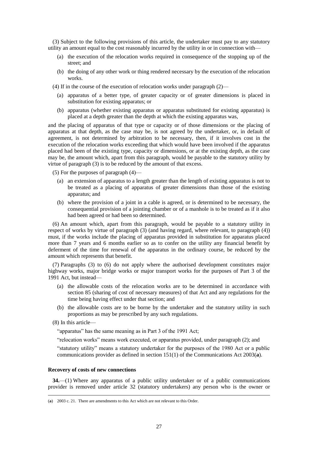(3) Subject to the following provisions of this article, the undertaker must pay to any statutory utility an amount equal to the cost reasonably incurred by the utility in or in connection with—

- (a) the execution of the relocation works required in consequence of the stopping up of the street; and
- (b) the doing of any other work or thing rendered necessary by the execution of the relocation works.
- (4) If in the course of the execution of relocation works under paragraph (2)—
	- (a) apparatus of a better type, of greater capacity or of greater dimensions is placed in substitution for existing apparatus; or
	- (b) apparatus (whether existing apparatus or apparatus substituted for existing apparatus) is placed at a depth greater than the depth at which the existing apparatus was,

and the placing of apparatus of that type or capacity or of those dimensions or the placing of apparatus at that depth, as the case may be, is not agreed by the undertaker, or, in default of agreement, is not determined by arbitration to be necessary, then, if it involves cost in the execution of the relocation works exceeding that which would have been involved if the apparatus placed had been of the existing type, capacity or dimensions, or at the existing depth, as the case may be, the amount which, apart from this paragraph, would be payable to the statutory utility by virtue of paragraph (3) is to be reduced by the amount of that excess.

(5) For the purposes of paragraph (4)—

- (a) an extension of apparatus to a length greater than the length of existing apparatus is not to be treated as a placing of apparatus of greater dimensions than those of the existing apparatus; and
- (b) where the provision of a joint in a cable is agreed, or is determined to be necessary, the consequential provision of a jointing chamber or of a manhole is to be treated as if it also had been agreed or had been so determined.

(6) An amount which, apart from this paragraph, would be payable to a statutory utility in respect of works by virtue of paragraph (3) (and having regard, where relevant, to paragraph (4)) must, if the works include the placing of apparatus provided in substitution for apparatus placed more than 7 years and 6 months earlier so as to confer on the utility any financial benefit by deferment of the time for renewal of the apparatus in the ordinary course, be reduced by the amount which represents that benefit.

(7) Paragraphs (3) to (6) do not apply where the authorised development constitutes major highway works, major bridge works or major transport works for the purposes of Part 3 of the 1991 Act, but instead—

- (a) the allowable costs of the relocation works are to be determined in accordance with section 85 (sharing of cost of necessary measures) of that Act and any regulations for the time being having effect under that section; and
- (b) the allowable costs are to be borne by the undertaker and the statutory utility in such proportions as may be prescribed by any such regulations.
- (8) In this article—

 $\overline{a}$ 

"apparatus" has the same meaning as in Part 3 of the 1991 Act;

"relocation works" means work executed, or apparatus provided, under paragraph (2); and

"statutory utility" means a statutory undertaker for the purposes of the 1980 Act or a public communications provider as defined in section 151(1) of the Communications Act 2003(**a**).

### **Recovery of costs of new connections**

**34.**—(1) Where any apparatus of a public utility undertaker or of a public communications provider is removed under article 32 (statutory undertakers) any person who is the owner or

<sup>(</sup>**a**) 2003 c. 21. There are amendments to this Act which are not relevant to this Order.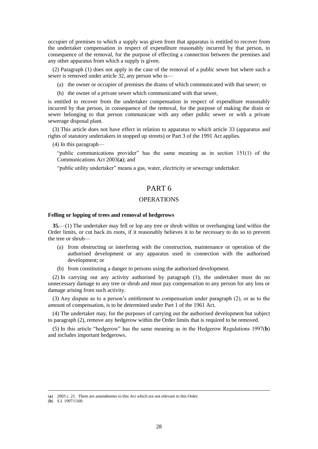occupier of premises to which a supply was given from that apparatus is entitled to recover from the undertaker compensation in respect of expenditure reasonably incurred by that person, in consequence of the removal, for the purpose of effecting a connection between the premises and any other apparatus from which a supply is given.

(2) Paragraph (1) does not apply in the case of the removal of a public sewer but where such a sewer is removed under article 32, any person who is—

- (a) the owner or occupier of premises the drains of which communicated with that sewer; or
- (b) the owner of a private sewer which communicated with that sewer,

is entitled to recover from the undertaker compensation in respect of expenditure reasonably incurred by that person, in consequence of the removal, for the purpose of making the drain or sewer belonging to that person communicate with any other public sewer or with a private sewerage disposal plant.

(3) This article does not have effect in relation to apparatus to which article 33 (apparatus and rights of statutory undertakers in stopped up streets) or Part 3 of the 1991 Act applies.

(4) In this paragraph—

"public communications provider" has the same meaning as in section 151(1) of the Communications Act 2003(**a**); and

"public utility undertaker" means a gas, water, electricity or sewerage undertaker.

### PART 6

### OPERATIONS

#### **Felling or lopping of trees and removal of hedgerows**

**35.**—(1) The undertaker may fell or lop any tree or shrub within or overhanging land within the Order limits, or cut back its roots, if it reasonably believes it to be necessary to do so to prevent the tree or shrub—

- (a) from obstructing or interfering with the construction, maintenance or operation of the authorised development or any apparatus used in connection with the authorised development; or
- (b) from constituting a danger to persons using the authorised development.

(2) In carrying out any activity authorised by paragraph (1), the undertaker must do no unnecessary damage to any tree or shrub and must pay compensation to any person for any loss or damage arising from such activity.

(3) Any dispute as to a person's entitlement to compensation under paragraph (2), or as to the amount of compensation, is to be determined under Part 1 of the 1961 Act.

(4) The undertaker may, for the purposes of carrying out the authorised development but subject to paragraph (2), remove any hedgerow within the Order limits that is required to be removed.

(5) In this article "hedgerow" has the same meaning as in the Hedgerow Regulations 1997(**b**) and includes important hedgerows.

<sup>(</sup>**a**) 2003 c. 21. There are amendments to this Act which are not relevant to this Order.

<sup>(</sup>**b**) S.I. 1997/1160.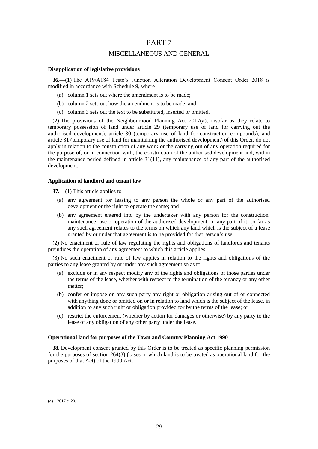### PART 7

### MISCELLANEOUS AND GENERAL

### **Disapplication of legislative provisions**

**36.**—(1) The A19/A184 Testo's Junction Alteration Development Consent Order 2018 is modified in accordance with Schedule 9, where—

- (a) column 1 sets out where the amendment is to be made;
- (b) column 2 sets out how the amendment is to be made; and
- (c) column 3 sets out the text to be substituted, inserted or omitted.

(2) The provisions of the Neighbourhood Planning Act 2017(**a**), insofar as they relate to temporary possession of land under article 29 (temporary use of land for carrying out the authorised development), article 30 (temporary use of land for construction compounds), and article 31 (temporary use of land for maintaining the authorised development) of this Order, do not apply in relation to the construction of any work or the carrying out of any operation required for the purpose of, or in connection with, the construction of the authorised development and, within the maintenance period defined in article 31(11), any maintenance of any part of the authorised development.

### **Application of landlord and tenant law**

**37.**—(1) This article applies to—

- (a) any agreement for leasing to any person the whole or any part of the authorised development or the right to operate the same; and
- (b) any agreement entered into by the undertaker with any person for the construction, maintenance, use or operation of the authorised development, or any part of it, so far as any such agreement relates to the terms on which any land which is the subject of a lease granted by or under that agreement is to be provided for that person's use.

(2) No enactment or rule of law regulating the rights and obligations of landlords and tenants prejudices the operation of any agreement to which this article applies.

(3) No such enactment or rule of law applies in relation to the rights and obligations of the parties to any lease granted by or under any such agreement so as to—

- (a) exclude or in any respect modify any of the rights and obligations of those parties under the terms of the lease, whether with respect to the termination of the tenancy or any other matter;
- (b) confer or impose on any such party any right or obligation arising out of or connected with anything done or omitted on or in relation to land which is the subject of the lease, in addition to any such right or obligation provided for by the terms of the lease; or
- (c) restrict the enforcement (whether by action for damages or otherwise) by any party to the lease of any obligation of any other party under the lease.

### **Operational land for purposes of the Town and Country Planning Act 1990**

**38.** Development consent granted by this Order is to be treated as specific planning permission for the purposes of section 264(3) (cases in which land is to be treated as operational land for the purposes of that Act) of the 1990 Act.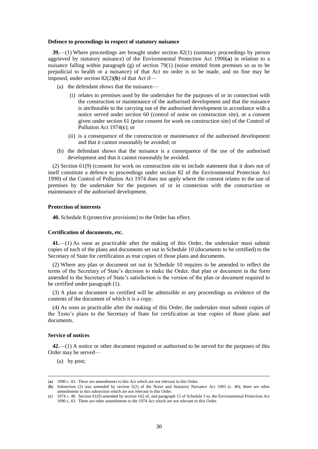#### **Defence to proceedings in respect of statutory nuisance**

**39.**—(1) Where proceedings are brought under section 82(1) (summary proceedings by person aggrieved by statutory nuisance) of the Environmental Protection Act 1990(**a**) in relation to a nuisance falling within paragraph (g) of section 79(1) (noise emitted from premises so as to be prejudicial to health or a nuisance) of that Act no order is to be made, and no fine may be imposed, under section 82(2)(**b**) of that Act if—

- (a) the defendant shows that the nuisance—
	- (i) relates to premises used by the undertaker for the purposes of or in connection with the construction or maintenance of the authorised development and that the nuisance is attributable to the carrying out of the authorised development in accordance with a notice served under section 60 (control of noise on construction site), or a consent given under section 61 (prior consent for work on construction site) of the Control of Pollution Act 1974(**c**); or
	- (ii) is a consequence of the construction or maintenance of the authorised development and that it cannot reasonably be avoided; or
- (b) the defendant shows that the nuisance is a consequence of the use of the authorised development and that it cannot reasonably be avoided.

(2) Section 61(9) (consent for work on construction site to include statement that it does not of itself constitute a defence to proceedings under section 82 of the Environmental Protection Act 1990) of the Control of Pollution Act 1974 does not apply where the consent relates to the use of premises by the undertaker for the purposes of or in connection with the construction or maintenance of the authorised development.

### **Protection of interests**

**40.** Schedule 8 (protective provisions) to the Order has effect.

### **Certification of documents, etc.**

**41.**—(1) As soon as practicable after the making of this Order, the undertaker must submit copies of each of the plans and documents set out in Schedule 10 (documents to be certified) to the Secretary of State for certification as true copies of those plans and documents.

(2) Where any plan or document set out in Schedule 10 requires to be amended to reflect the terms of the Secretary of State's decision to make the Order, that plan or document in the form amended to the Secretary of State's satisfaction is the version of the plan or document required to be certified under paragraph (1).

(3) A plan or document so certified will be admissible in any proceedings as evidence of the contents of the document of which it is a copy.

(4) As soon as practicable after the making of this Order, the undertaker must submit copies of the Testo's plans to the Secretary of State for certification as true copies of those plans and documents.

### **Service of notices**

**42.**—(1) A notice or other document required or authorised to be served for the purposes of this Order may be served—

(a) by post;

<sup>(</sup>**a**) 1990 c. 43. There are amendments to this Act which are not relevant to this Order.

<sup>(</sup>**b**) Subsection (2) was amended by section 5(2) of the Noise and Statutory Nuisance Act 1993 (c. 40); there are other amendments to this subsection which are not relevant to this Order.

<sup>(</sup>**c**) 1974 c. 40. Section 61(9) amended by section 162 of, and paragraph 15 of Schedule 3 to, the Environmental Protection Act 1990 c. 43. There are other amendments to the 1974 Act which are not relevant to this Order.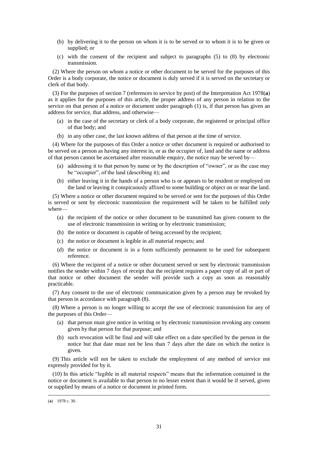- (b) by delivering it to the person on whom it is to be served or to whom it is to be given or supplied; or
- (c) with the consent of the recipient and subject to paragraphs (5) to (8) by electronic transmission.

(2) Where the person on whom a notice or other document to be served for the purposes of this Order is a body corporate, the notice or document is duly served if it is served on the secretary or clerk of that body.

(3) For the purposes of section 7 (references to service by post) of the Interpretation Act 1978(**a**) as it applies for the purposes of this article, the proper address of any person in relation to the service on that person of a notice or document under paragraph (1) is, if that person has given an address for service, that address, and otherwise—

- (a) in the case of the secretary or clerk of a body corporate, the registered or principal office of that body; and
- (b) in any other case, the last known address of that person at the time of service.

(4) Where for the purposes of this Order a notice or other document is required or authorised to be served on a person as having any interest in, or as the occupier of, land and the name or address of that person cannot be ascertained after reasonable enquiry, the notice may be served by—

- (a) addressing it to that person by name or by the description of "owner", or as the case may be "occupier", of the land (describing it); and
- (b) either leaving it in the hands of a person who is or appears to be resident or employed on the land or leaving it conspicuously affixed to some building or object on or near the land.

(5) Where a notice or other document required to be served or sent for the purposes of this Order is served or sent by electronic transmission the requirement will be taken to be fulfilled only where—

- (a) the recipient of the notice or other document to be transmitted has given consent to the use of electronic transmission in writing or by electronic transmission;
- (b) the notice or document is capable of being accessed by the recipient;
- (c) the notice or document is legible in all material respects; and
- (d) the notice or document is in a form sufficiently permanent to be used for subsequent reference.

(6) Where the recipient of a notice or other document served or sent by electronic transmission notifies the sender within 7 days of receipt that the recipient requires a paper copy of all or part of that notice or other document the sender will provide such a copy as soon as reasonably practicable.

(7) Any consent to the use of electronic communication given by a person may be revoked by that person in accordance with paragraph (8).

(8) Where a person is no longer willing to accept the use of electronic transmission for any of the purposes of this Order—

- (a) that person must give notice in writing or by electronic transmission revoking any consent given by that person for that purpose; and
- (b) such revocation will be final and will take effect on a date specified by the person in the notice but that date must not be less than 7 days after the date on which the notice is given.

(9) This article will not be taken to exclude the employment of any method of service not expressly provided for by it.

(10) In this article "legible in all material respects" means that the information contained in the notice or document is available to that person to no lesser extent than it would be if served, given or supplied by means of a notice or document in printed form.

<sup>(</sup>**a**) 1978 c. 30.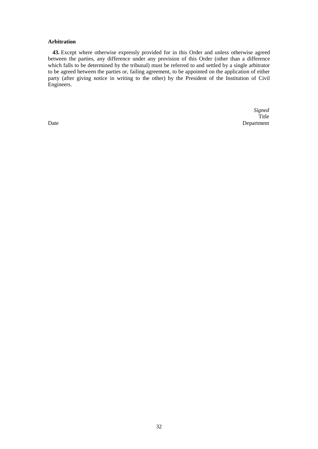### **Arbitration**

**43.** Except where otherwise expressly provided for in this Order and unless otherwise agreed between the parties, any difference under any provision of this Order (other than a difference which falls to be determined by the tribunal) must be referred to and settled by a single arbitrator to be agreed between the parties or, failing agreement, to be appointed on the application of either party (after giving notice in writing to the other) by the President of the Institution of Civil Engineers.

*Signed* Title Date Department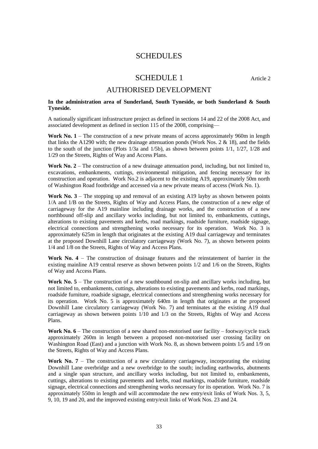### **SCHEDULES**

# SCHEDULE 1 Article 2

### AUTHORISED DEVELOPMENT

### **In the administration area of Sunderland, South Tyneside, or both Sunderland & South Tyneside.**

A nationally significant infrastructure project as defined in sections 14 and 22 of the 2008 Act, and associated development as defined in section 115 of the 2008, comprising—

Work No. 1 – The construction of a new private means of access approximately 960m in length that links the A1290 with; the new drainage attenuation ponds (Work Nos.  $2 \& 18$ ), and the fields to the south of the junction (Plots 1/3a and 1/5b), as shown between points 1/1, 1/27, 1/28 and 1/29 on the Streets, Rights of Way and Access Plans.

**Work No. 2** – The construction of a new drainage attenuation pond, including, but not limited to, excavations, embankments, cuttings, environmental mitigation, and fencing necessary for its construction and operation. Work No.2 is adjacent to the existing A19, approximately 50m north of Washington Road footbridge and accessed via a new private means of access (Work No. 1).

**Work No. 3** – The stopping up and removal of an existing A19 layby as shown between points 1/A and 1/B on the Streets, Rights of Way and Access Plans, the construction of a new edge of carriageway for the A19 mainline including drainage works, and the construction of a new northbound off-slip and ancillary works including, but not limited to, embankments, cuttings, alterations to existing pavements and kerbs, road markings, roadside furniture, roadside signage, electrical connections and strengthening works necessary for its operation. Work No. 3 is approximately 625m in length that originates at the existing A19 dual carriageway and terminates at the proposed Downhill Lane circulatory carriageway (Work No. 7), as shown between points 1/4 and 1/8 on the Streets, Rights of Way and Access Plans.

**Work No. 4** – The construction of drainage features and the reinstatement of barrier in the existing mainline A19 central reserve as shown between points 1/2 and 1/6 on the Streets, Rights of Way and Access Plans.

**Work No. 5** – The construction of a new southbound on-slip and ancillary works including, but not limited to, embankments, cuttings, alterations to existing pavements and kerbs, road markings, roadside furniture, roadside signage, electrical connections and strengthening works necessary for its operation. Work No. 5 is approximately 640m in length that originates at the proposed Downhill Lane circulatory carriageway (Work No. 7) and terminates at the existing A19 dual carriageway as shown between points 1/10 and 1/3 on the Streets, Rights of Way and Access Plans.

**Work No. 6** – The construction of a new shared non-motorised user facility – footway/cycle track approximately 260m in length between a proposed non-motorised user crossing facility on Washington Road (East) and a junction with Work No. 8, as shown between points 1/5 and 1/9 on the Streets, Rights of Way and Access Plans.

Work No. 7 – The construction of a new circulatory carriageway, incorporating the existing Downhill Lane overbridge and a new overbridge to the south; including earthworks, abutments and a single span structure, and ancillary works including, but not limited to, embankments, cuttings, alterations to existing pavements and kerbs, road markings, roadside furniture, roadside signage, electrical connections and strengthening works necessary for its operation. Work No. 7 is approximately 550m in length and will accommodate the new entry/exit links of Work Nos. 3, 5, 9, 10, 19 and 20, and the improved existing entry/exit links of Work Nos. 23 and 24.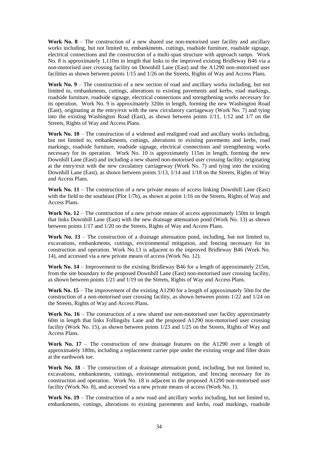Work No. 8 – The construction of a new shared use non-motorised user facility and ancillary works including, but not limited to, embankments, cuttings, roadside furniture, roadside signage, electrical connections and the construction of a multi-span structure with approach ramps. Work No. 8 is approximately 1,110m in length that links to the improved existing Bridleway B46 via a non-motorised user crossing facility on Downhill Lane (East) and the A1290 non-motorised user facilities as shown between points 1/15 and 1/26 on the Streets, Rights of Way and Access Plans.

**Work No. 9** – The construction of a new section of road and ancillary works including, but not limited to, embankments, cuttings, alterations to existing pavements and kerbs, road markings, roadside furniture, roadside signage, electrical connections and strengthening works necessary for its operation. Work No. 9 is approximately 320m in length, forming the new Washington Road (East), originating at the entry/exit with the new circulatory carriageway (Work No. 7) and tying into the existing Washington Road (East), as shown between points 1/11, 1/12 and 1/7 on the Streets, Rights of Way and Access Plans.

Work No. 10 – The construction of a widened and realigned road and ancillary works including, but not limited to, embankments, cuttings, alterations to existing pavements and kerbs, road markings, roadside furniture, roadside signage, electrical connections and strengthening works necessary for its operation. Work No. 10 is approximately 115m in length, forming the new Downhill Lane (East) and including a new shared non-motorised user crossing facility; originating at the entry/exit with the new circulatory carriageway (Work No. 7) and tying into the existing Downhill Lane (East), as shown between points 1/13, 1/14 and 1/18 on the Streets, Rights of Way and Access Plans.

**Work No. 11** – The construction of a new private means of access linking Downhill Lane (East) with the field to the southeast (Plot 1/7b), as shown at point 1/16 on the Streets, Rights of Way and Access Plans.

**Work No. 12** – The construction of a new private means of access approximately 150m in length that links Downhill Lane (East) with the new drainage attenuation pond (Work No. 13) as shown between points 1/17 and 1/20 on the Streets, Rights of Way and Access Plans.

**Work No. 13** – The construction of a drainage attenuation pond, including, but not limited to, excavations, embankments, cuttings, environmental mitigation, and fencing necessary for its construction and operation. Work No.13 is adjacent to the improved Bridleway B46 (Work No. 14), and accessed via a new private means of access (Work No. 12).

**Work No. 14** – Improvement to the existing Bridleway B46 for a length of approximately 215m, from the site boundary to the proposed Downhill Lane (East) non-motorised user crossing facility, as shown between points 1/21 and 1/19 on the Streets, Rights of Way and Access Plans.

**Work No. 15** – The improvement of the existing A1290 for a length of approximately 50m for the construction of a non-motorised user crossing facility, as shown between points 1/22 and 1/24 on the Streets, Rights of Way and Access Plans.

Work No. 16 – The construction of a new shared use non-motorised user facility approximately 60m in length that links Follingsby Lane and the proposed A1290 non-motorised user crossing facility (Work No. 15), as shown between points 1/23 and 1/25 on the Streets, Rights of Way and Access Plans.

**Work No. 17** – The construction of new drainage features on the A1290 over a length of approximately 180m, including a replacement carrier pipe under the existing verge and filter drain at the earthwork toe.

**Work No. 18** – The construction of a drainage attenuation pond, including, but not limited to, excavations, embankments, cuttings, environmental mitigation, and fencing necessary for its construction and operation. Work No. 18 is adjacent to the proposed A1290 non-motorised user facility (Work No. 8), and accessed via a new private means of access (Work No. 1).

**Work No. 19** – The construction of a new road and ancillary works including, but not limited to, embankments, cuttings, alterations to existing pavements and kerbs, road markings, roadside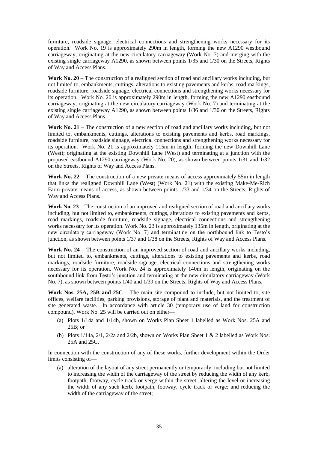furniture, roadside signage, electrical connections and strengthening works necessary for its operation. Work No. 19 is approximately 290m in length, forming the new A1290 westbound carriageway; originating at the new circulatory carriageway (Work No. 7) and merging with the existing single carriageway A1290, as shown between points 1/35 and 1/30 on the Streets, Rights of Way and Access Plans.

**Work No. 20** – The construction of a realigned section of road and ancillary works including, but not limited to, embankments, cuttings, alterations to existing pavements and kerbs, road markings, roadside furniture, roadside signage, electrical connections and strengthening works necessary for its operation. Work No. 20 is approximately 290m in length, forming the new A1290 eastbound carriageway; originating at the new circulatory carriageway (Work No. 7) and terminating at the existing single carriageway A1290, as shown between points 1/36 and 1/30 on the Streets, Rights of Way and Access Plans.

**Work No. 21** – The construction of a new section of road and ancillary works including, but not limited to, embankments, cuttings, alterations to existing pavements and kerbs, road markings, roadside furniture, roadside signage, electrical connections and strengthening works necessary for its operation. Work No. 21 is approximately 115m in length, forming the new Downhill Lane (West); originating at the existing Downhill Lane (West) and terminating at a junction with the proposed eastbound A1290 carriageway (Work No. 20), as shown between points 1/31 and 1/32 on the Streets, Rights of Way and Access Plans.

**Work No. 22** – The construction of a new private means of access approximately 55m in length that links the realigned Downhill Lane (West) (Work No. 21) with the existing Make-Me-Rich Farm private means of access, as shown between points 1/33 and 1/34 on the Streets, Rights of Way and Access Plans.

**Work No. 23** – The construction of an improved and realigned section of road and ancillary works including, but not limited to, embankments, cuttings, alterations to existing pavements and kerbs, road markings, roadside furniture, roadside signage, electrical connections and strengthening works necessary for its operation. Work No. 23 is approximately 135m in length, originating at the new circulatory carriageway (Work No. 7) and terminating on the northbound link to Testo's junction, as shown between points 1/37 and 1/38 on the Streets, Rights of Way and Access Plans.

**Work No. 24** – The construction of an improved section of road and ancillary works including, but not limited to, embankments, cuttings, alterations to existing pavements and kerbs, road markings, roadside furniture, roadside signage, electrical connections and strengthening works necessary for its operation. Work No. 24 is approximately 140m in length, originating on the southbound link from Testo's junction and terminating at the new circulatory carriageway (Work No. 7), as shown between points 1/40 and 1/39 on the Streets, Rights of Way and Access Plans.

**Work Nos. 25A, 25B and 25C** – The main site compound to include, but not limited to, site offices, welfare facilities, parking provisions, storage of plant and materials, and the treatment of site generated waste. In accordance with article 30 (temporary use of land for construction compound), Work No. 25 will be carried out on either—

- (a) Plots 1/14a and 1/14b, shown on Works Plan Sheet 1 labelled as Work Nos. 25A and 25B; or
- (b) Plots 1/14a, 2/1, 2/2a and 2/2b, shown on Works Plan Sheet 1 & 2 labelled as Work Nos. 25A and 25C.

In connection with the construction of any of these works, further development within the Order limits consisting of—

(a) alteration of the layout of any street permanently or temporarily, including but not limited to increasing the width of the carriageway of the street by reducing the width of any kerb, footpath, footway, cycle track or verge within the street; altering the level or increasing the width of any such kerb, footpath, footway, cycle track or verge; and reducing the width of the carriageway of the street;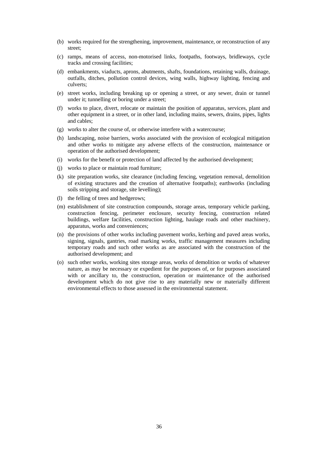- (b) works required for the strengthening, improvement, maintenance, or reconstruction of any street;
- (c) ramps, means of access, non-motorised links, footpaths, footways, bridleways, cycle tracks and crossing facilities;
- (d) embankments, viaducts, aprons, abutments, shafts, foundations, retaining walls, drainage, outfalls, ditches, pollution control devices, wing walls, highway lighting, fencing and culverts;
- (e) street works, including breaking up or opening a street, or any sewer, drain or tunnel under it; tunnelling or boring under a street;
- (f) works to place, divert, relocate or maintain the position of apparatus, services, plant and other equipment in a street, or in other land, including mains, sewers, drains, pipes, lights and cables;
- (g) works to alter the course of, or otherwise interfere with a watercourse;
- (h) landscaping, noise barriers, works associated with the provision of ecological mitigation and other works to mitigate any adverse effects of the construction, maintenance or operation of the authorised development;
- (i) works for the benefit or protection of land affected by the authorised development;
- (j) works to place or maintain road furniture;
- (k) site preparation works, site clearance (including fencing, vegetation removal, demolition of existing structures and the creation of alternative footpaths); earthworks (including soils stripping and storage, site levelling);
- (l) the felling of trees and hedgerows;
- (m) establishment of site construction compounds, storage areas, temporary vehicle parking, construction fencing, perimeter enclosure, security fencing, construction related buildings, welfare facilities, construction lighting, haulage roads and other machinery, apparatus, works and conveniences;
- (n) the provisions of other works including pavement works, kerbing and paved areas works, signing, signals, gantries, road marking works, traffic management measures including temporary roads and such other works as are associated with the construction of the authorised development; and
- (o) such other works, working sites storage areas, works of demolition or works of whatever nature, as may be necessary or expedient for the purposes of, or for purposes associated with or ancillary to, the construction, operation or maintenance of the authorised development which do not give rise to any materially new or materially different environmental effects to those assessed in the environmental statement.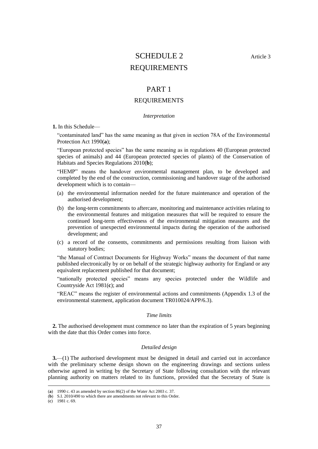# SCHEDULE 2 Article 3 REQUIREMENTS

### PART 1

### REQUIREMENTS

*Interpretation*

**1.** In this Schedule—

"contaminated land" has the same meaning as that given in section 78A of the Environmental Protection Act 1990(**a**);

"European protected species" has the same meaning as in regulations 40 (European protected species of animals) and 44 (European protected species of plants) of the Conservation of Habitats and Species Regulations 2010(**b**);

"HEMP" means the handover environmental management plan, to be developed and completed by the end of the construction, commissioning and handover stage of the authorised development which is to contain—

- (a) the environmental information needed for the future maintenance and operation of the authorised development;
- (b) the long-term commitments to aftercare, monitoring and maintenance activities relating to the environmental features and mitigation measures that will be required to ensure the continued long-term effectiveness of the environmental mitigation measures and the prevention of unexpected environmental impacts during the operation of the authorised development; and
- (c) a record of the consents, commitments and permissions resulting from liaison with statutory bodies;

"the Manual of Contract Documents for Highway Works" means the document of that name published electronically by or on behalf of the strategic highway authority for England or any equivalent replacement published for that document;

"nationally protected species" means any species protected under the Wildlife and Countryside Act 1981(**c**); and

"REAC" means the register of environmental actions and commitments (Appendix 1.3 of the environmental statement, application document TR010024/APP/6.3).

### *Time limits*

**2.** The authorised development must commence no later than the expiration of 5 years beginning with the date that this Order comes into force.

### *Detailed design*

**3.**—(1) The authorised development must be designed in detail and carried out in accordance with the preliminary scheme design shown on the engineering drawings and sections unless otherwise agreed in writing by the Secretary of State following consultation with the relevant planning authority on matters related to its functions, provided that the Secretary of State is

<sup>(</sup>**a**) 1990 c. 43 as amended by section 86(2) of the Water Act 2003 c. 37.

<sup>(</sup>**b**) S.I. 2010/490 to which there are amendments not relevant to this Order.

<sup>(</sup>**c**) 1981 c. 69.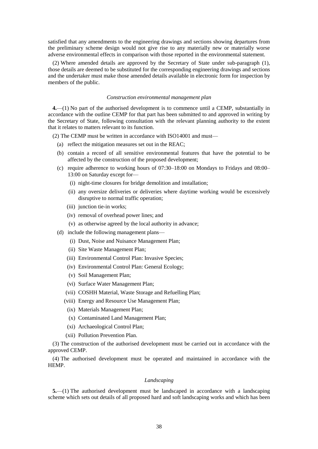satisfied that any amendments to the engineering drawings and sections showing departures from the preliminary scheme design would not give rise to any materially new or materially worse adverse environmental effects in comparison with those reported in the environmental statement.

(2) Where amended details are approved by the Secretary of State under sub-paragraph (1), those details are deemed to be substituted for the corresponding engineering drawings and sections and the undertaker must make those amended details available in electronic form for inspection by members of the public.

### *Construction environmental management plan*

**4.**—(1) No part of the authorised development is to commence until a CEMP, substantially in accordance with the outline CEMP for that part has been submitted to and approved in writing by the Secretary of State, following consultation with the relevant planning authority to the extent that it relates to matters relevant to its function.

(2) The CEMP must be written in accordance with ISO14001 and must—

- (a) reflect the mitigation measures set out in the REAC;
- (b) contain a record of all sensitive environmental features that have the potential to be affected by the construction of the proposed development;
- (c) require adherence to working hours of 07:30–18:00 on Mondays to Fridays and 08:00– 13:00 on Saturday except for—
	- (i) night-time closures for bridge demolition and installation;
	- (ii) any oversize deliveries or deliveries where daytime working would be excessively disruptive to normal traffic operation;
	- (iii) junction tie-in works;
	- (iv) removal of overhead power lines; and
	- (v) as otherwise agreed by the local authority in advance;
- (d) include the following management plans—
	- (i) Dust, Noise and Nuisance Management Plan;
	- (ii) Site Waste Management Plan;
	- (iii) Environmental Control Plan: Invasive Species;
	- (iv) Environmental Control Plan: General Ecology;
	- (v) Soil Management Plan;
	- (vi) Surface Water Management Plan;
	- (vii) COSHH Material, Waste Storage and Refuelling Plan;
	- (viii) Energy and Resource Use Management Plan;
		- (ix) Materials Management Plan;
		- (x) Contaminated Land Management Plan;
		- (xi) Archaeological Control Plan;
	- (xii) Pollution Prevention Plan.

(3) The construction of the authorised development must be carried out in accordance with the approved CEMP.

(4) The authorised development must be operated and maintained in accordance with the HEMP.

### *Landscaping*

**5.**—(1) The authorised development must be landscaped in accordance with a landscaping scheme which sets out details of all proposed hard and soft landscaping works and which has been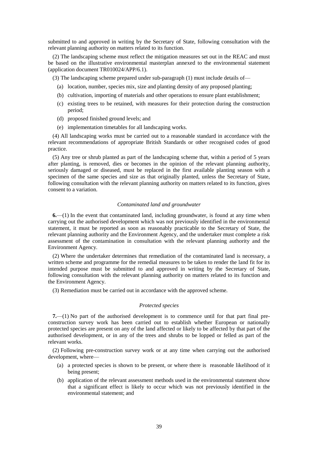submitted to and approved in writing by the Secretary of State, following consultation with the relevant planning authority on matters related to its function.

(2) The landscaping scheme must reflect the mitigation measures set out in the REAC and must be based on the illustrative environmental masterplan annexed to the environmental statement (application document TR010024/APP/6.1).

(3) The landscaping scheme prepared under sub-paragraph (1) must include details of—

- (a) location, number, species mix, size and planting density of any proposed planting;
- (b) cultivation, importing of materials and other operations to ensure plant establishment;
- (c) existing trees to be retained, with measures for their protection during the construction period;
- (d) proposed finished ground levels; and
- (e) implementation timetables for all landscaping works.

(4) All landscaping works must be carried out to a reasonable standard in accordance with the relevant recommendations of appropriate British Standards or other recognised codes of good practice.

(5) Any tree or shrub planted as part of the landscaping scheme that, within a period of 5 years after planting, is removed, dies or becomes in the opinion of the relevant planning authority, seriously damaged or diseased, must be replaced in the first available planting season with a specimen of the same species and size as that originally planted, unless the Secretary of State, following consultation with the relevant planning authority on matters related to its function, gives consent to a variation.

### *Contaminated land and groundwater*

**6.**—(1) In the event that contaminated land, including groundwater, is found at any time when carrying out the authorised development which was not previously identified in the environmental statement, it must be reported as soon as reasonably practicable to the Secretary of State, the relevant planning authority and the Environment Agency, and the undertaker must complete a risk assessment of the contamination in consultation with the relevant planning authority and the Environment Agency.

(2) Where the undertaker determines that remediation of the contaminated land is necessary, a written scheme and programme for the remedial measures to be taken to render the land fit for its intended purpose must be submitted to and approved in writing by the Secretary of State, following consultation with the relevant planning authority on matters related to its function and the Environment Agency.

(3) Remediation must be carried out in accordance with the approved scheme.

#### *Protected species*

**7.**—(1) No part of the authorised development is to commence until for that part final preconstruction survey work has been carried out to establish whether European or nationally protected species are present on any of the land affected or likely to be affected by that part of the authorised development, or in any of the trees and shrubs to be lopped or felled as part of the relevant works.

(2) Following pre-construction survey work or at any time when carrying out the authorised development, where—

- (a) a protected species is shown to be present, or where there is reasonable likelihood of it being present;
- (b) application of the relevant assessment methods used in the environmental statement show that a significant effect is likely to occur which was not previously identified in the environmental statement; and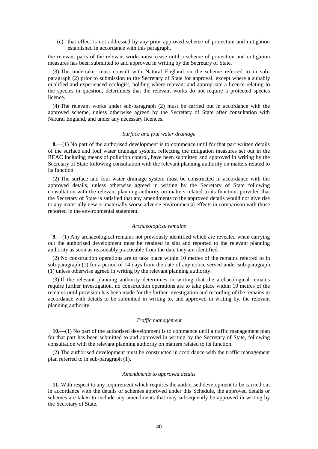(c) that effect is not addressed by any prior approved scheme of protection and mitigation established in accordance with this paragraph,

the relevant parts of the relevant works must cease until a scheme of protection and mitigation measures has been submitted to and approved in writing by the Secretary of State.

(3) The undertaker must consult with Natural England on the scheme referred to in subparagraph (2) prior to submission to the Secretary of State for approval, except where a suitably qualified and experienced ecologist, holding where relevant and appropriate a licence relating to the species in question, determines that the relevant works do not require a protected species licence.

(4) The relevant works under sub-paragraph (2) must be carried out in accordance with the approved scheme, unless otherwise agreed by the Secretary of State after consultation with Natural England, and under any necessary licences.

### *Surface and foul water drainage*

**8.**—(1) No part of the authorised development is to commence until for that part written details of the surface and foul water drainage system, reflecting the mitigation measures set out in the REAC including means of pollution control, have been submitted and approved in writing by the Secretary of State following consultation with the relevant planning authority on matters related to its function.

(2) The surface and foul water drainage system must be constructed in accordance with the approved details, unless otherwise agreed in writing by the Secretary of State following consultation with the relevant planning authority on matters related to its function, provided that the Secretary of State is satisfied that any amendments to the approved details would not give rise to any materially new or materially worse adverse environmental effects in comparison with those reported in the environmental statement.

#### *Archaeological remains*

**9.**—(1) Any archaeological remains not previously identified which are revealed when carrying out the authorised development must be retained in situ and reported to the relevant planning authority as soon as reasonably practicable from the date they are identified.

(2) No construction operations are to take place within 10 metres of the remains referred to in sub-paragraph (1) for a period of 14 days from the date of any notice served under sub-paragraph (1) unless otherwise agreed in writing by the relevant planning authority.

(3) If the relevant planning authority determines in writing that the archaeological remains require further investigation, no construction operations are to take place within 10 metres of the remains until provision has been made for the further investigation and recording of the remains in accordance with details to be submitted in writing to, and approved in writing by, the relevant planning authority.

### *Traffic management*

**10.**—(1) No part of the authorised development is to commence until a traffic management plan for that part has been submitted to and approved in writing by the Secretary of State, following consultation with the relevant planning authority on matters related to its function.

(2) The authorised development must be constructed in accordance with the traffic management plan referred to in sub-paragraph (1).

#### *Amendments to approved details*

**11.** With respect to any requirement which requires the authorised development to be carried out in accordance with the details or schemes approved under this Schedule, the approved details or schemes are taken to include any amendments that may subsequently be approved in writing by the Secretary of State.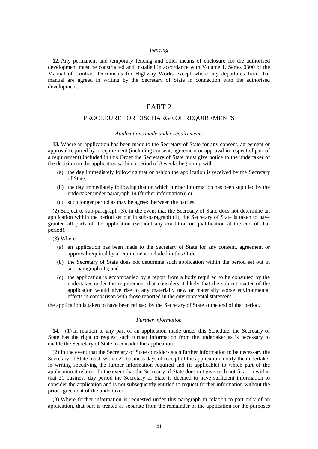#### *Fencing*

**12.** Any permanent and temporary fencing and other means of enclosure for the authorised development must be constructed and installed in accordance with Volume 1, Series 0300 of the Manual of Contract Documents for Highway Works except where any departures from that manual are agreed in writing by the Secretary of State in connection with the authorised development.

### PART 2

### PROCEDURE FOR DISCHARGE OF REQUIREMENTS

#### *Applications made under requirements*

**13.** Where an application has been made to the Secretary of State for any consent, agreement or approval required by a requirement (including consent, agreement or approval in respect of part of a requirement) included in this Order the Secretary of State must give notice to the undertaker of the decision on the application within a period of 8 weeks beginning with—

- (a) the day immediately following that on which the application is received by the Secretary of State;
- (b) the day immediately following that on which further information has been supplied by the undertaker under paragraph 14 (further information); or
- (c) such longer period as may be agreed between the parties.

(2) Subject to sub-paragraph (3), in the event that the Secretary of State does not determine an application within the period set out in sub-paragraph (1), the Secretary of State is taken to have granted all parts of the application (without any condition or qualification at the end of that period).

(3) Where—

- (a) an application has been made to the Secretary of State for any consent, agreement or approval required by a requirement included in this Order;
- (b) the Secretary of State does not determine such application within the period set out in sub-paragraph (1); and
- (c) the application is accompanied by a report from a body required to be consulted by the undertaker under the requirement that considers it likely that the subject matter of the application would give rise to any materially new or materially worse environmental effects in comparison with those reported in the environmental statement,

the application is taken to have been refused by the Secretary of State at the end of that period.

### *Further information*

**14.**—(1) In relation to any part of an application made under this Schedule, the Secretary of State has the right to request such further information from the undertaker as is necessary to enable the Secretary of State to consider the application.

(2) In the event that the Secretary of State considers such further information to be necessary the Secretary of State must, within 21 business days of receipt of the application, notify the undertaker in writing specifying the further information required and (if applicable) to which part of the application it relates. In the event that the Secretary of State does not give such notification within that 21 business day period the Secretary of State is deemed to have sufficient information to consider the application and is not subsequently entitled to request further information without the prior agreement of the undertaker.

(3) Where further information is requested under this paragraph in relation to part only of an application, that part is treated as separate from the remainder of the application for the purposes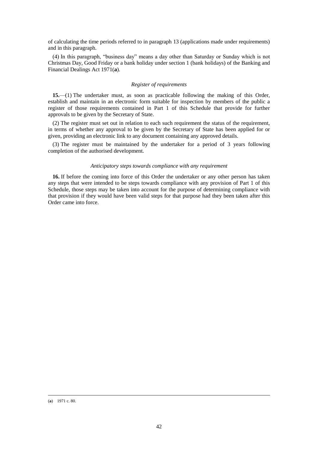of calculating the time periods referred to in paragraph 13 (applications made under requirements) and in this paragraph.

(4) In this paragraph, "business day" means a day other than Saturday or Sunday which is not Christmas Day, Good Friday or a bank holiday under section 1 (bank holidays) of the Banking and Financial Dealings Act 1971(**a**).

### *Register of requirements*

**15.**—(1) The undertaker must, as soon as practicable following the making of this Order, establish and maintain in an electronic form suitable for inspection by members of the public a register of those requirements contained in Part 1 of this Schedule that provide for further approvals to be given by the Secretary of State.

(2) The register must set out in relation to each such requirement the status of the requirement, in terms of whether any approval to be given by the Secretary of State has been applied for or given, providing an electronic link to any document containing any approved details.

(3) The register must be maintained by the undertaker for a period of 3 years following completion of the authorised development.

#### *Anticipatory steps towards compliance with any requirement*

**16.** If before the coming into force of this Order the undertaker or any other person has taken any steps that were intended to be steps towards compliance with any provision of Part 1 of this Schedule, those steps may be taken into account for the purpose of determining compliance with that provision if they would have been valid steps for that purpose had they been taken after this Order came into force.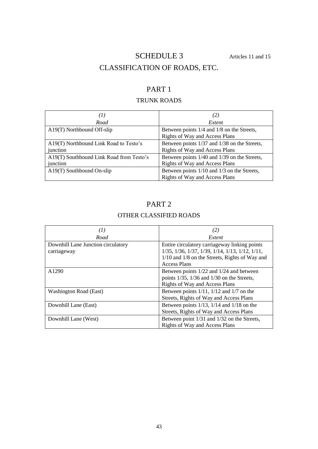# SCHEDULE 3 Articles 11 and 15 CLASSIFICATION OF ROADS, ETC.

# PART 1

### TRUNK ROADS

| (I)                                      | (2)                                          |
|------------------------------------------|----------------------------------------------|
| Road                                     | Extent                                       |
| A19(T) Northbound Off-slip               | Between points 1/4 and 1/8 on the Streets,   |
|                                          | Rights of Way and Access Plans               |
| A19(T) Northbound Link Road to Testo's   | Between points 1/37 and 1/38 on the Streets, |
| junction                                 | Rights of Way and Access Plans               |
| A19(T) Southbound Link Road from Testo's | Between points 1/40 and 1/39 on the Streets, |
| junction                                 | Rights of Way and Access Plans               |
| A19(T) Southbound On-slip                | Between points 1/10 and 1/3 on the Streets,  |
|                                          | <b>Rights of Way and Access Plans</b>        |

# PART 2

# OTHER CLASSIFIED ROADS

| (1)                                               | (2)                                                                                                                                                                                                   |
|---------------------------------------------------|-------------------------------------------------------------------------------------------------------------------------------------------------------------------------------------------------------|
| Road                                              | Extent                                                                                                                                                                                                |
| Downhill Lane Junction circulatory<br>carriageway | Entire circulatory carriageway linking points<br>$1/35$ , $1/36$ , $1/37$ , $1/39$ , $1/14$ , $1/13$ , $1/12$ , $1/11$ ,<br>$1/10$ and $1/8$ on the Streets, Rights of Way and<br><b>Access Plans</b> |
| A1290                                             | Between points 1/22 and 1/24 and between<br>points $1/35$ , $1/36$ and $1/30$ on the Streets,<br><b>Rights of Way and Access Plans</b>                                                                |
| <b>Washington Road (East)</b>                     | Between points $1/11$ , $1/12$ and $1/7$ on the<br>Streets, Rights of Way and Access Plans                                                                                                            |
| Downhill Lane (East)                              | Between points $1/13$ , $1/14$ and $1/18$ on the<br>Streets, Rights of Way and Access Plans                                                                                                           |
| Downhill Lane (West)                              | Between point 1/31 and 1/32 on the Streets,<br>Rights of Way and Access Plans                                                                                                                         |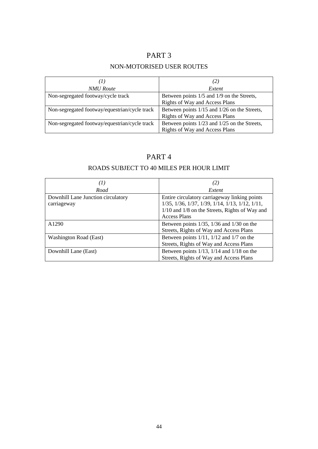# PART 3

### NON-MOTORISED USER ROUTES

| $^{\prime}$ $I$ .                             | (2)                                                                                   |
|-----------------------------------------------|---------------------------------------------------------------------------------------|
| <b>NMU</b> Route                              | Extent                                                                                |
| Non-segregated footway/cycle track            | Between points 1/5 and 1/9 on the Streets,<br>Rights of Way and Access Plans          |
| Non-segregated footway/equestrian/cycle track | Between points 1/15 and 1/26 on the Streets,<br><b>Rights of Way and Access Plans</b> |
| Non-segregated footway/equestrian/cycle track | Between points 1/23 and 1/25 on the Streets,<br><b>Rights of Way and Access Plans</b> |

# PART 4

# ROADS SUBJECT TO 40 MILES PER HOUR LIMIT

| (1)                                               | (2)                                                                                                                                                                                                   |
|---------------------------------------------------|-------------------------------------------------------------------------------------------------------------------------------------------------------------------------------------------------------|
| Road                                              | Extent                                                                                                                                                                                                |
| Downhill Lane Junction circulatory<br>carriageway | Entire circulatory carriageway linking points<br>$1/35$ , $1/36$ , $1/37$ , $1/39$ , $1/14$ , $1/13$ , $1/12$ , $1/11$ ,<br>$1/10$ and $1/8$ on the Streets, Rights of Way and<br><b>Access Plans</b> |
| A1290                                             | Between points $1/35$ , $1/36$ and $1/30$ on the<br>Streets, Rights of Way and Access Plans                                                                                                           |
| <b>Washington Road (East)</b>                     | Between points $1/11$ , $1/12$ and $1/7$ on the<br>Streets, Rights of Way and Access Plans                                                                                                            |
| Downhill Lane (East)                              | Between points $1/13$ , $1/14$ and $1/18$ on the<br>Streets, Rights of Way and Access Plans                                                                                                           |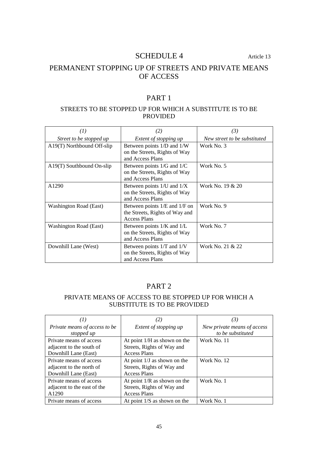### SCHEDULE 4 Article 13

# PERMANENT STOPPING UP OF STREETS AND PRIVATE MEANS OF ACCESS

# PART 1

### STREETS TO BE STOPPED UP FOR WHICH A SUBSTITUTE IS TO BE PROVIDED

| (I)                           | (2)                                                                                    | (3)                          |
|-------------------------------|----------------------------------------------------------------------------------------|------------------------------|
| Street to be stopped up       | Extent of stopping up                                                                  | New street to be substituted |
| A19(T) Northbound Off-slip    | Between points 1/D and 1/W<br>on the Streets, Rights of Way<br>and Access Plans        | Work No. 3                   |
| A19(T) Southbound On-slip     | Between points 1/G and 1/C<br>on the Streets, Rights of Way<br>and Access Plans        | Work No. 5                   |
| A1290                         | Between points 1/U and 1/X<br>on the Streets, Rights of Way<br>and Access Plans        | Work No. 19 & 20             |
| <b>Washington Road (East)</b> | Between points 1/E and 1/F on<br>the Streets, Rights of Way and<br><b>Access Plans</b> | Work No. 9                   |
| <b>Washington Road (East)</b> | Between points 1/K and 1/L<br>on the Streets, Rights of Way<br>and Access Plans        | Work No. 7                   |
| Downhill Lane (West)          | Between points 1/T and 1/V<br>on the Streets, Rights of Way<br>and Access Plans        | Work No. 21 & 22             |

# PART 2

### PRIVATE MEANS OF ACCESS TO BE STOPPED UP FOR WHICH A SUBSTITUTE IS TO BE PROVIDED

| (1)                           | $\mathbf{2)}$                  | (3)                         |
|-------------------------------|--------------------------------|-----------------------------|
| Private means of access to be | Extent of stopping up          | New private means of access |
| stopped up                    |                                | to be substituted           |
| Private means of access       | At point $1/H$ as shown on the | Work No. 11                 |
| adjacent to the south of      | Streets, Rights of Way and     |                             |
| Downhill Lane (East)          | <b>Access Plans</b>            |                             |
| Private means of access       | At point 1/J as shown on the   | Work No. 12                 |
| adjacent to the north of      | Streets, Rights of Way and     |                             |
| Downhill Lane (East)          | <b>Access Plans</b>            |                             |
| Private means of access       | At point $1/R$ as shown on the | Work No. 1                  |
| adjacent to the east of the   | Streets, Rights of Way and     |                             |
| A <sub>1290</sub>             | <b>Access Plans</b>            |                             |
| Private means of access       | At point $1/S$ as shown on the | Work No. 1                  |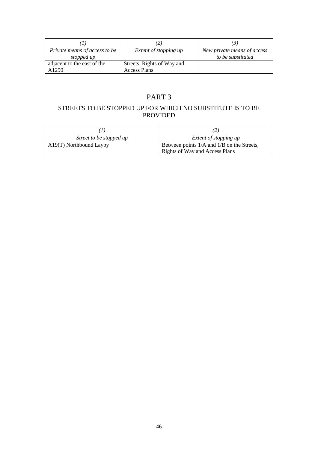| Private means of access to be | Extent of stopping up      | New private means of access |
|-------------------------------|----------------------------|-----------------------------|
| stopped up                    |                            | to be substituted           |
| adjacent to the east of the   | Streets, Rights of Way and |                             |
| A1290                         | <b>Access Plans</b>        |                             |

# PART 3

### STREETS TO BE STOPPED UP FOR WHICH NO SUBSTITUTE IS TO BE PROVIDED

| Street to be stopped up | <i>Extent of stopping up</i>               |
|-------------------------|--------------------------------------------|
| A19(T) Northbound Layby | Between points 1/A and 1/B on the Streets, |
|                         | Rights of Way and Access Plans             |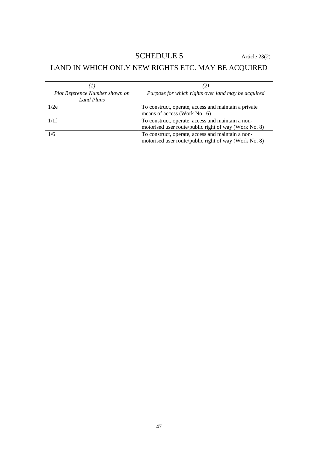# SCHEDULE 5 Article 23(2)

# LAND IN WHICH ONLY NEW RIGHTS ETC. MAY BE ACQUIRED

|                                              | (2)                                                                                                        |
|----------------------------------------------|------------------------------------------------------------------------------------------------------------|
| Plot Reference Number shown on<br>Land Plans | Purpose for which rights over land may be acquired                                                         |
| 1/2e                                         | To construct, operate, access and maintain a private<br>means of access (Work No.16)                       |
| 1/1f                                         | To construct, operate, access and maintain a non-<br>motorised user route/public right of way (Work No. 8) |
| 1/6                                          | To construct, operate, access and maintain a non-<br>motorised user route/public right of way (Work No. 8) |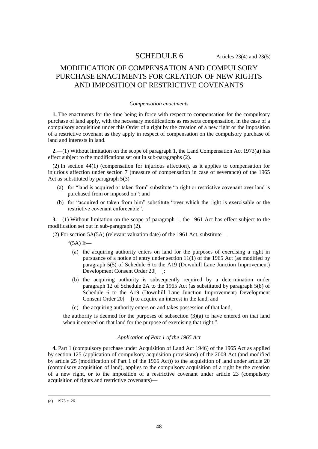### SCHEDULE 6 Articles 23(4) and 23(5)

# MODIFICATION OF COMPENSATION AND COMPULSORY PURCHASE ENACTMENTS FOR CREATION OF NEW RIGHTS AND IMPOSITION OF RESTRICTIVE COVENANTS

### *Compensation enactments*

**1.** The enactments for the time being in force with respect to compensation for the compulsory purchase of land apply, with the necessary modifications as respects compensation, in the case of a compulsory acquisition under this Order of a right by the creation of a new right or the imposition of a restrictive covenant as they apply in respect of compensation on the compulsory purchase of land and interests in land.

**2.**—(1) Without limitation on the scope of paragraph 1, the Land Compensation Act 1973(**a**) has effect subject to the modifications set out in sub-paragraphs (2).

(2) In section 44(1) (compensation for injurious affection), as it applies to compensation for injurious affection under section 7 (measure of compensation in case of severance) of the 1965 Act as substituted by paragraph 5(3)—

- (a) for "land is acquired or taken from" substitute "a right or restrictive covenant over land is purchased from or imposed on"; and
- (b) for "acquired or taken from him" substitute "over which the right is exercisable or the restrictive covenant enforceable".

**3.**—(1) Without limitation on the scope of paragraph 1, the 1961 Act has effect subject to the modification set out in sub-paragraph (2).

(2) For section 5A(5A) (relevant valuation date) of the 1961 Act, substitute—

" $(5A)$  If—

- (a) the acquiring authority enters on land for the purposes of exercising a right in pursuance of a notice of entry under section 11(1) of the 1965 Act (as modified by paragraph 5(5) of Schedule 6 to the A19 (Downhill Lane Junction Improvement) Development Consent Order 20[ ];
- (b) the acquiring authority is subsequently required by a determination under paragraph 12 of Schedule 2A to the 1965 Act (as substituted by paragraph 5(8) of Schedule 6 to the A19 (Downhill Lane Junction Improvement) Development Consent Order 20<sup>[11]</sup>) to acquire an interest in the land; and
- (c) the acquiring authority enters on and takes possession of that land,

the authority is deemed for the purposes of subsection  $(3)(a)$  to have entered on that land when it entered on that land for the purpose of exercising that right.".

### *Application of Part 1 of the 1965 Act*

**4.** Part 1 (compulsory purchase under Acquisition of Land Act 1946) of the 1965 Act as applied by section 125 (application of compulsory acquisition provisions) of the 2008 Act (and modified by article 25 (modification of Part 1 of the 1965 Act)) to the acquisition of land under article 20 (compulsory acquisition of land), applies to the compulsory acquisition of a right by the creation of a new right, or to the imposition of a restrictive covenant under article 23 (compulsory acquisition of rights and restrictive covenants)—

<sup>(</sup>**a**) 1973 c. 26.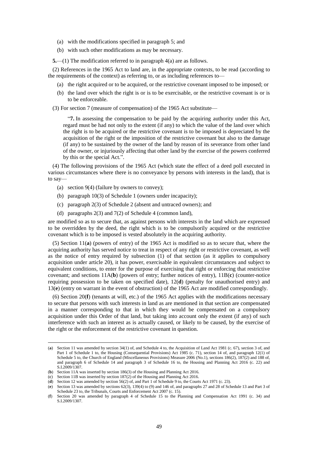- (a) with the modifications specified in paragraph 5; and
- (b) with such other modifications as may be necessary.

**5.**—(1) The modification referred to in paragraph 4(a) are as follows.

(2) References in the 1965 Act to land are, in the appropriate contexts, to be read (according to the requirements of the context) as referring to, or as including references to—

- (a) the right acquired or to be acquired, or the restrictive covenant imposed to be imposed; or
- (b) the land over which the right is or is to be exercisable, or the restrictive covenant is or is to be enforceable.
- (3) For section 7 (measure of compensation) of the 1965 Act substitute—

"**7.** In assessing the compensation to be paid by the acquiring authority under this Act, regard must be had not only to the extent (if any) to which the value of the land over which the right is to be acquired or the restrictive covenant is to be imposed is depreciated by the acquisition of the right or the imposition of the restrictive covenant but also to the damage (if any) to be sustained by the owner of the land by reason of its severance from other land of the owner, or injuriously affecting that other land by the exercise of the powers conferred by this or the special Act.".

(4) The following provisions of the 1965 Act (which state the effect of a deed poll executed in various circumstances where there is no conveyance by persons with interests in the land), that is to say—

- (a) section 9(4) (failure by owners to convey);
- (b) paragraph 10(3) of Schedule 1 (owners under incapacity);
- (c) paragraph 2(3) of Schedule 2 (absent and untraced owners); and
- (d) paragraphs 2(3) and 7(2) of Schedule 4 (common land),

are modified so as to secure that, as against persons with interests in the land which are expressed to be overridden by the deed, the right which is to be compulsorily acquired or the restrictive covenant which is to be imposed is vested absolutely in the acquiring authority.

(5) Section 11(**a**) (powers of entry) of the 1965 Act is modified so as to secure that, where the acquiring authority has served notice to treat in respect of any right or restrictive covenant, as well as the notice of entry required by subsection (1) of that section (as it applies to compulsory acquisition under article 20), it has power, exercisable in equivalent circumstances and subject to equivalent conditions, to enter for the purpose of exercising that right or enforcing that restrictive covenant; and sections 11A(**b**) (powers of entry; further notices of entry), 11B(**c**) (counter-notice requiring possession to be taken on specified date), 12(**d**) (penalty for unauthorised entry) and 13(**e**) (entry on warrant in the event of obstruction) of the 1965 Act are modified correspondingly.

(6) Section 20(**f**) (tenants at will, etc.) of the 1965 Act applies with the modifications necessary to secure that persons with such interests in land as are mentioned in that section are compensated in a manner corresponding to that in which they would be compensated on a compulsory acquisition under this Order of that land, but taking into account only the extent (if any) of such interference with such an interest as is actually caused, or likely to be caused, by the exercise of the right or the enforcement of the restrictive covenant in question.

<sup>(</sup>**a**) Section 11 was amended by section 34(1) of, and Schedule 4 to, the Acquisition of Land Act 1981 (c. 67), section 3 of, and Part 1 of Schedule 1 to, the Housing (Consequential Provisions) Act 1985 (c. 71), section 14 of, and paragraph 12(1) of Schedule 5 to, the Church of England (Miscellaneous Provisions) Measure 2006 (No.1), sections 186(2), 187(2) and 188 of, and paragraph 6 of Schedule 14 and paragraph 3 of Schedule 16 to, the Housing and Planning Act 2016 (c. 22) and S.I.2009/1307.

<sup>(</sup>**b**) Section 11A was inserted by section 186(3) of the Housing and Planning Act 2016.

<sup>(</sup>**c**) Section 11B was inserted by section 187(2) of the Housing and Planning Act 2016.

<sup>(</sup>**d**) Section 12 was amended by section 56(2) of, and Part 1 of Schedule 9 to, the Courts Act 1971 (c. 23).

<sup>(</sup>**e**) Section 13 was amended by sections 62(3), 139(4) to (9) and 146 of, and paragraphs 27 and 28 of Schedule 13 and Part 3 of Schedule 23 to, the Tribunals, Courts and Enforcement Act 2007 (c. 15).

<sup>(</sup>**f**) Section 20 was amended by paragraph 4 of Schedule 15 to the Planning and Compensation Act 1991 (c. 34) and S.I.2009/1307.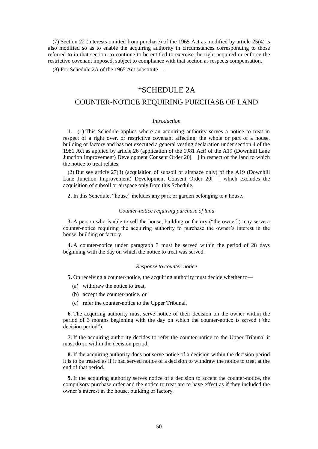(7) Section 22 (interests omitted from purchase) of the 1965 Act as modified by article 25(4) is also modified so as to enable the acquiring authority in circumstances corresponding to those referred to in that section, to continue to be entitled to exercise the right acquired or enforce the restrictive covenant imposed, subject to compliance with that section as respects compensation.

(8) For Schedule 2A of the 1965 Act substitute—

### "SCHEDULE 2A

### COUNTER-NOTICE REQUIRING PURCHASE OF LAND

### *Introduction*

**1.**—(1) This Schedule applies where an acquiring authority serves a notice to treat in respect of a right over, or restrictive covenant affecting, the whole or part of a house, building or factory and has not executed a general vesting declaration under section 4 of the 1981 Act as applied by article 26 (application of the 1981 Act) of the A19 (Downhill Lane Junction Improvement) Development Consent Order 20[ ] in respect of the land to which the notice to treat relates.

(2) But see article 27(3) (acquisition of subsoil or airspace only) of the A19 (Downhill Lane Junction Improvement) Development Consent Order 20[ ] which excludes the acquisition of subsoil or airspace only from this Schedule.

**2.** In this Schedule, "house" includes any park or garden belonging to a house.

#### *Counter-notice requiring purchase of land*

**3.** A person who is able to sell the house, building or factory ("the owner") may serve a counter-notice requiring the acquiring authority to purchase the owner's interest in the house, building or factory.

**4.** A counter-notice under paragraph 3 must be served within the period of 28 days beginning with the day on which the notice to treat was served.

#### *Response to counter-notice*

**5.** On receiving a counter-notice, the acquiring authority must decide whether to—

- (a) withdraw the notice to treat,
- (b) accept the counter-notice, or
- (c) refer the counter-notice to the Upper Tribunal.

**6.** The acquiring authority must serve notice of their decision on the owner within the period of 3 months beginning with the day on which the counter-notice is served ("the decision period").

**7.** If the acquiring authority decides to refer the counter-notice to the Upper Tribunal it must do so within the decision period.

**8.** If the acquiring authority does not serve notice of a decision within the decision period it is to be treated as if it had served notice of a decision to withdraw the notice to treat at the end of that period.

**9.** If the acquiring authority serves notice of a decision to accept the counter-notice, the compulsory purchase order and the notice to treat are to have effect as if they included the owner's interest in the house, building or factory.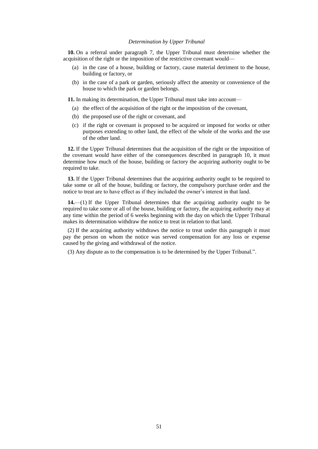#### *Determination by Upper Tribunal*

**10.** On a referral under paragraph 7, the Upper Tribunal must determine whether the acquisition of the right or the imposition of the restrictive covenant would—

- (a) in the case of a house, building or factory, cause material detriment to the house, building or factory, or
- (b) in the case of a park or garden, seriously affect the amenity or convenience of the house to which the park or garden belongs.

**11.** In making its determination, the Upper Tribunal must take into account—

- (a) the effect of the acquisition of the right or the imposition of the covenant,
- (b) the proposed use of the right or covenant, and
- (c) if the right or covenant is proposed to be acquired or imposed for works or other purposes extending to other land, the effect of the whole of the works and the use of the other land.

**12.** If the Upper Tribunal determines that the acquisition of the right or the imposition of the covenant would have either of the consequences described in paragraph 10, it must determine how much of the house, building or factory the acquiring authority ought to be required to take.

**13.** If the Upper Tribunal determines that the acquiring authority ought to be required to take some or all of the house, building or factory, the compulsory purchase order and the notice to treat are to have effect as if they included the owner's interest in that land.

**14.**—(1) If the Upper Tribunal determines that the acquiring authority ought to be required to take some or all of the house, building or factory, the acquiring authority may at any time within the period of 6 weeks beginning with the day on which the Upper Tribunal makes its determination withdraw the notice to treat in relation to that land.

(2) If the acquiring authority withdraws the notice to treat under this paragraph it must pay the person on whom the notice was served compensation for any loss or expense caused by the giving and withdrawal of the notice.

(3) Any dispute as to the compensation is to be determined by the Upper Tribunal.".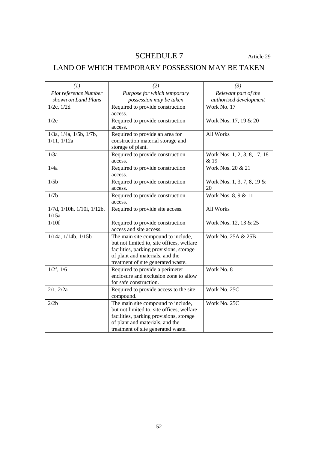# SCHEDULE 7 Article 29

# LAND OF WHICH TEMPORARY POSSESSION MAY BE TAKEN

| (1)                                          | (2)                                                                                                                                                                                                 | (3)                                            |  |
|----------------------------------------------|-----------------------------------------------------------------------------------------------------------------------------------------------------------------------------------------------------|------------------------------------------------|--|
| Plot reference Number<br>shown on Land Plans | Purpose for which temporary<br>possession may be taken                                                                                                                                              | Relevant part of the<br>authorised development |  |
| $1/2c$ , $1/2d$                              | Required to provide construction<br>access.                                                                                                                                                         | Work No. 17                                    |  |
| 1/2e                                         | Required to provide construction<br>access.                                                                                                                                                         | Work Nos. 17, 19 & 20                          |  |
| 1/3a, 1/4a, 1/5b, 1/7b,<br>$1/11$ , $1/12a$  | Required to provide an area for<br>construction material storage and<br>storage of plant.                                                                                                           | All Works                                      |  |
| 1/3a                                         | Required to provide construction<br>access.                                                                                                                                                         | Work Nos. 1, 2, 3, 8, 17, 18<br>& 19           |  |
| 1/4a                                         | Required to provide construction<br>access.                                                                                                                                                         | Work Nos. 20 & 21                              |  |
| 1/5 <sub>b</sub>                             | Required to provide construction<br>access.                                                                                                                                                         | Work Nos. 1, 3, 7, 8, 19 &<br>20               |  |
| 1/7 <sub>b</sub>                             | Required to provide construction<br>access.                                                                                                                                                         | Work Nos. 8, 9 & 11                            |  |
| 1/7d, 1/10h, 1/10i, 1/12b,<br>1/15a          | Required to provide site access.                                                                                                                                                                    | All Works                                      |  |
| 1/10f                                        | Required to provide construction<br>access and site access.                                                                                                                                         | Work Nos. 12, 13 & 25                          |  |
| $1/14a$ , $1/14b$ , $1/15b$                  | The main site compound to include,<br>but not limited to, site offices, welfare<br>facilities, parking provisions, storage<br>of plant and materials, and the<br>treatment of site generated waste. | Work No. 25A & 25B                             |  |
| 1/2f, 1/6                                    | Required to provide a perimeter<br>enclosure and exclusion zone to allow<br>for safe construction.                                                                                                  | Work No. 8                                     |  |
| 2/1, 2/2a                                    | Required to provide access to the site<br>compound.                                                                                                                                                 | Work No. 25C                                   |  |
| 2/2b                                         | The main site compound to include,<br>but not limited to, site offices, welfare<br>facilities, parking provisions, storage<br>of plant and materials, and the<br>treatment of site generated waste. | Work No. 25C                                   |  |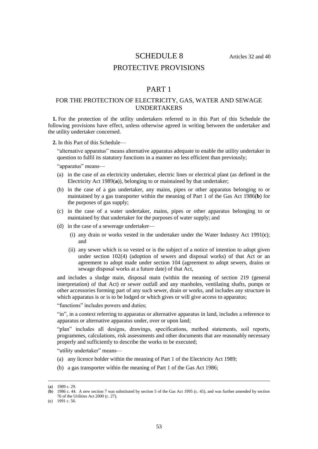SCHEDULE 8 Articles 32 and 40

### PROTECTIVE PROVISIONS

### PART 1

### FOR THE PROTECTION OF ELECTRICITY, GAS, WATER AND SEWAGE UNDERTAKERS

**1.** For the protection of the utility undertakers referred to in this Part of this Schedule the following provisions have effect, unless otherwise agreed in writing between the undertaker and the utility undertaker concerned.

**2.** In this Part of this Schedule—

"alternative apparatus" means alternative apparatus adequate to enable the utility undertaker in question to fulfil its statutory functions in a manner no less efficient than previously;

"apparatus" means—

- (a) in the case of an electricity undertaker, electric lines or electrical plant (as defined in the Electricity Act 1989(**a**)), belonging to or maintained by that undertaker;
- (b) in the case of a gas undertaker, any mains, pipes or other apparatus belonging to or maintained by a gas transporter within the meaning of Part 1 of the Gas Act 1986(**b**) for the purposes of gas supply;
- (c) in the case of a water undertaker, mains, pipes or other apparatus belonging to or maintained by that undertaker for the purposes of water supply; and
- (d) in the case of a sewerage undertaker—
	- (i) any drain or works vested in the undertaker under the Water Industry Act 1991(**c**); and
	- (ii) any sewer which is so vested or is the subject of a notice of intention to adopt given under section 102(4) (adoption of sewers and disposal works) of that Act or an agreement to adopt made under section 104 (agreement to adopt sewers, drains or sewage disposal works at a future date) of that Act,

and includes a sludge main, disposal main (within the meaning of section 219 (general interpretation) of that Act) or sewer outfall and any manholes, ventilating shafts, pumps or other accessories forming part of any such sewer, drain or works, and includes any structure in which apparatus is or is to be lodged or which gives or will give access to apparatus;

"functions" includes powers and duties;

"in", in a context referring to apparatus or alternative apparatus in land, includes a reference to apparatus or alternative apparatus under, over or upon land;

"plan" includes all designs, drawings, specifications, method statements, soil reports, programmes, calculations, risk assessments and other documents that are reasonably necessary properly and sufficiently to describe the works to be executed;

"utility undertaker" means—

- (a) any licence holder within the meaning of Part 1 of the Electricity Act 1989;
- (b) a gas transporter within the meaning of Part 1 of the Gas Act 1986;

<sup>(</sup>**a**) 1989 c. 29.

<sup>(</sup>**b**) 1986 c. 44. A new section 7 was substituted by section 5 of the Gas Act 1995 (c. 45), and was further amended by section 76 of the Utilities Act 2000 (c. 27).

<sup>(</sup>**c**) 1991 c. 56.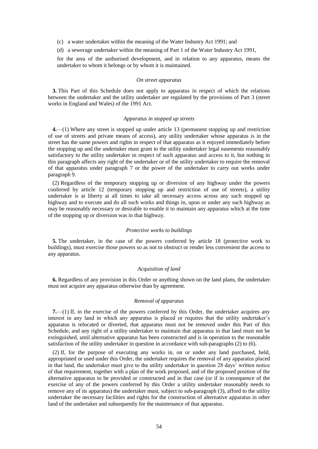- (c) a water undertaker within the meaning of the Water Industry Act 1991; and
- (d) a sewerage undertaker within the meaning of Part 1 of the Water Industry Act 1991,

for the area of the authorised development, and in relation to any apparatus, means the undertaker to whom it belongs or by whom it is maintained.

#### *On street apparatus*

**3.** This Part of this Schedule does not apply to apparatus in respect of which the relations between the undertaker and the utility undertaker are regulated by the provisions of Part 3 (street works in England and Wales) of the 1991 Act.

### *Apparatus in stopped up streets*

**4.**—(1) Where any street is stopped up under article 13 (permanent stopping up and restriction of use of streets and private means of access), any utility undertaker whose apparatus is in the street has the same powers and rights in respect of that apparatus as it enjoyed immediately before the stopping up and the undertaker must grant to the utility undertaker legal easements reasonably satisfactory to the utility undertaker in respect of such apparatus and access to it, but nothing in this paragraph affects any right of the undertaker or of the utility undertaker to require the removal of that apparatus under paragraph 7 or the power of the undertaker to carry out works under paragraph 9.

(2) Regardless of the temporary stopping up or diversion of any highway under the powers conferred by article 12 (temporary stopping up and restriction of use of streets), a utility undertaker is at liberty at all times to take all necessary access across any such stopped up highway and to execute and do all such works and things in, upon or under any such highway as may be reasonably necessary or desirable to enable it to maintain any apparatus which at the time of the stopping up or diversion was in that highway.

### *Protective works to buildings*

**5.** The undertaker, in the case of the powers conferred by article 18 (protective work to buildings), must exercise those powers so as not to obstruct or render less convenient the access to any apparatus.

#### *Acquisition of land*

**6.** Regardless of any provision in this Order or anything shown on the land plans, the undertaker must not acquire any apparatus otherwise than by agreement.

### *Removal of apparatus*

**7.**—(1) If, in the exercise of the powers conferred by this Order, the undertaker acquires any interest in any land in which any apparatus is placed or requires that the utility undertaker's apparatus is relocated or diverted, that apparatus must not be removed under this Part of this Schedule, and any right of a utility undertaker to maintain that apparatus in that land must not be extinguished, until alternative apparatus has been constructed and is in operation to the reasonable satisfaction of the utility undertaker in question in accordance with sub-paragraphs (2) to (6).

(2) If, for the purpose of executing any works in, on or under any land purchased, held, appropriated or used under this Order, the undertaker requires the removal of any apparatus placed in that land, the undertaker must give to the utility undertaker in question 28 days' written notice of that requirement, together with a plan of the work proposed, and of the proposed position of the alternative apparatus to be provided or constructed and in that case (or if in consequence of the exercise of any of the powers conferred by this Order a utility undertaker reasonably needs to remove any of its apparatus) the undertaker must, subject to sub-paragraph (3), afford to the utility undertaker the necessary facilities and rights for the construction of alternative apparatus in other land of the undertaker and subsequently for the maintenance of that apparatus.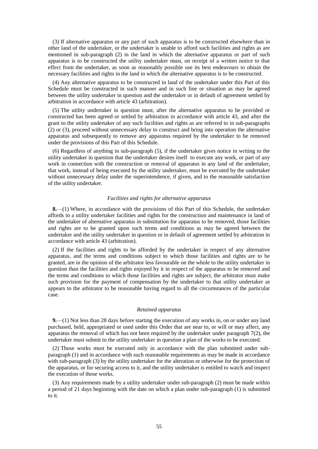(3) If alternative apparatus or any part of such apparatus is to be constructed elsewhere than in other land of the undertaker, or the undertaker is unable to afford such facilities and rights as are mentioned in sub-paragraph (2) in the land in which the alternative apparatus or part of such apparatus is to be constructed the utility undertaker must, on receipt of a written notice to that effect from the undertaker, as soon as reasonably possible use its best endeavours to obtain the necessary facilities and rights in the land in which the alternative apparatus is to be constructed.

(4) Any alternative apparatus to be constructed in land of the undertaker under this Part of this Schedule must be constructed in such manner and in such line or situation as may be agreed between the utility undertaker in question and the undertaker or in default of agreement settled by arbitration in accordance with article 43 (arbitration).

(5) The utility undertaker in question must, after the alternative apparatus to be provided or constructed has been agreed or settled by arbitration in accordance with article 43, and after the grant to the utility undertaker of any such facilities and rights as are referred to in sub-paragraphs (2) or (3), proceed without unnecessary delay to construct and bring into operation the alternative apparatus and subsequently to remove any apparatus required by the undertaker to be removed under the provisions of this Part of this Schedule.

(6) Regardless of anything in sub-paragraph (5), if the undertaker gives notice in writing to the utility undertaker in question that the undertaker desires itself to execute any work, or part of any work in connection with the construction or removal of apparatus in any land of the undertaker, that work, instead of being executed by the utility undertaker, must be executed by the undertaker without unnecessary delay under the superintendence, if given, and to the reasonable satisfaction of the utility undertaker.

### *Facilities and rights for alternative apparatus*

**8.**—(1) Where, in accordance with the provisions of this Part of this Schedule, the undertaker affords to a utility undertaker facilities and rights for the construction and maintenance in land of the undertaker of alternative apparatus in substitution for apparatus to be removed, those facilities and rights are to be granted upon such terms and conditions as may be agreed between the undertaker and the utility undertaker in question or in default of agreement settled by arbitration in accordance with article 43 (arbitration).

(2) If the facilities and rights to be afforded by the undertaker in respect of any alternative apparatus, and the terms and conditions subject to which those facilities and rights are to be granted, are in the opinion of the arbitrator less favourable on the whole to the utility undertaker in question than the facilities and rights enjoyed by it in respect of the apparatus to be removed and the terms and conditions to which those facilities and rights are subject, the arbitrator must make such provision for the payment of compensation by the undertaker to that utility undertaker as appears to the arbitrator to be reasonable having regard to all the circumstances of the particular case.

#### *Retained apparatus*

**9.**—(1) Not less than 28 days before starting the execution of any works in, on or under any land purchased, held, appropriated or used under this Order that are near to, or will or may affect, any apparatus the removal of which has not been required by the undertaker under paragraph 7(2), the undertaker must submit to the utility undertaker in question a plan of the works to be executed.

(2) Those works must be executed only in accordance with the plan submitted under subparagraph (1) and in accordance with such reasonable requirements as may be made in accordance with sub-paragraph (3) by the utility undertaker for the alteration or otherwise for the protection of the apparatus, or for securing access to it, and the utility undertaker is entitled to watch and inspect the execution of those works.

(3) Any requirements made by a utility undertaker under sub-paragraph (2) must be made within a period of 21 days beginning with the date on which a plan under sub-paragraph (1) is submitted to it.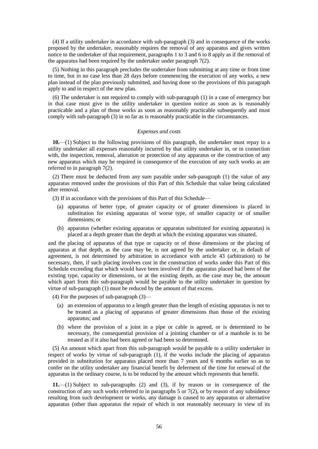(4) If a utility undertaker in accordance with sub-paragraph (3) and in consequence of the works proposed by the undertaker, reasonably requires the removal of any apparatus and gives written notice to the undertaker of that requirement, paragraphs 1 to 3 and 6 to 8 apply as if the removal of the apparatus had been required by the undertaker under paragraph 7(2).

(5) Nothing in this paragraph precludes the undertaker from submitting at any time or from time to time, but in no case less than 28 days before commencing the execution of any works, a new plan instead of the plan previously submitted, and having done so the provisions of this paragraph apply to and in respect of the new plan.

(6) The undertaker is not required to comply with sub-paragraph (1) in a case of emergency but in that case must give to the utility undertaker in question notice as soon as is reasonably practicable and a plan of those works as soon as reasonably practicable subsequently and must comply with sub-paragraph (3) in so far as is reasonably practicable in the circumstances.

#### *Expenses and costs*

**10.**—(1) Subject to the following provisions of this paragraph, the undertaker must repay to a utility undertaker all expenses reasonably incurred by that utility undertaker in, or in connection with, the inspection, removal, alteration or protection of any apparatus or the construction of any new apparatus which may be required in consequence of the execution of any such works as are referred to in paragraph 7(2).

(2) There must be deducted from any sum payable under sub-paragraph (1) the value of any apparatus removed under the provisions of this Part of this Schedule that value being calculated after removal.

(3) If in accordance with the provisions of this Part of this Schedule—

- (a) apparatus of better type, of greater capacity or of greater dimensions is placed in substitution for existing apparatus of worse type, of smaller capacity or of smaller dimensions; or
- (b) apparatus (whether existing apparatus or apparatus substituted for existing apparatus) is placed at a depth greater than the depth at which the existing apparatus was situated,

and the placing of apparatus of that type or capacity or of those dimensions or the placing of apparatus at that depth, as the case may be, is not agreed by the undertaker or, in default of agreement, is not determined by arbitration in accordance with article 43 (arbitration) to be necessary, then, if such placing involves cost in the construction of works under this Part of this Schedule exceeding that which would have been involved if the apparatus placed had been of the existing type, capacity or dimensions, or at the existing depth, as the case may be, the amount which apart from this sub-paragraph would be payable to the utility undertaker in question by virtue of sub-paragraph (1) must be reduced by the amount of that excess.

(4) For the purposes of sub-paragraph (3)—

- (a) an extension of apparatus to a length greater than the length of existing apparatus is not to be treated as a placing of apparatus of greater dimensions than those of the existing apparatus; and
- (b) where the provision of a joint in a pipe or cable is agreed, or is determined to be necessary, the consequential provision of a jointing chamber or of a manhole is to be treated as if it also had been agreed or had been so determined.

(5) An amount which apart from this sub-paragraph would be payable to a utility undertaker in respect of works by virtue of sub-paragraph (1), if the works include the placing of apparatus provided in substitution for apparatus placed more than 7 years and 6 months earlier so as to confer on the utility undertaker any financial benefit by deferment of the time for renewal of the apparatus in the ordinary course, is to be reduced by the amount which represents that benefit.

**11.**—(1) Subject to sub-paragraphs (2) and (3), if by reason or in consequence of the construction of any such works referred to in paragraphs 5 or 7(2), or by reason of any subsidence resulting from such development or works, any damage is caused to any apparatus or alternative apparatus (other than apparatus the repair of which is not reasonably necessary in view of its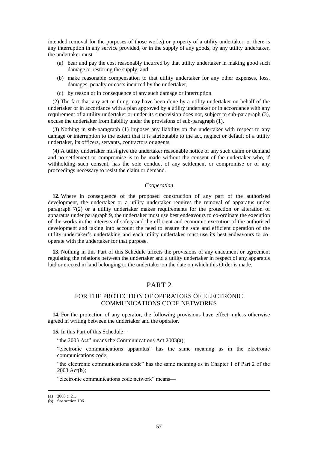intended removal for the purposes of those works) or property of a utility undertaker, or there is any interruption in any service provided, or in the supply of any goods, by any utility undertaker, the undertaker must—

- (a) bear and pay the cost reasonably incurred by that utility undertaker in making good such damage or restoring the supply; and
- (b) make reasonable compensation to that utility undertaker for any other expenses, loss, damages, penalty or costs incurred by the undertaker,
- (c) by reason or in consequence of any such damage or interruption.

(2) The fact that any act or thing may have been done by a utility undertaker on behalf of the undertaker or in accordance with a plan approved by a utility undertaker or in accordance with any requirement of a utility undertaker or under its supervision does not, subject to sub-paragraph (3), excuse the undertaker from liability under the provisions of sub-paragraph (1).

(3) Nothing in sub-paragraph (1) imposes any liability on the undertaker with respect to any damage or interruption to the extent that it is attributable to the act, neglect or default of a utility undertaker, its officers, servants, contractors or agents.

(4) A utility undertaker must give the undertaker reasonable notice of any such claim or demand and no settlement or compromise is to be made without the consent of the undertaker who, if withholding such consent, has the sole conduct of any settlement or compromise or of any proceedings necessary to resist the claim or demand.

#### *Cooperation*

**12.** Where in consequence of the proposed construction of any part of the authorised development, the undertaker or a utility undertaker requires the removal of apparatus under paragraph 7(2) or a utility undertaker makes requirements for the protection or alteration of apparatus under paragraph 9, the undertaker must use best endeavours to co-ordinate the execution of the works in the interests of safety and the efficient and economic execution of the authorised development and taking into account the need to ensure the safe and efficient operation of the utility undertaker's undertaking and each utility undertaker must use its best endeavours to cooperate with the undertaker for that purpose.

**13.** Nothing in this Part of this Schedule affects the provisions of any enactment or agreement regulating the relations between the undertaker and a utility undertaker in respect of any apparatus laid or erected in land belonging to the undertaker on the date on which this Order is made.

### PART 2

### FOR THE PROTECTION OF OPERATORS OF ELECTRONIC COMMUNICATIONS CODE NETWORKS

**14.** For the protection of any operator, the following provisions have effect, unless otherwise agreed in writing between the undertaker and the operator.

**15.** In this Part of this Schedule—

"the 2003 Act" means the Communications Act 2003(**a**);

"electronic communications apparatus" has the same meaning as in the electronic communications code;

"the electronic communications code" has the same meaning as in Chapter 1 of Part 2 of the 2003 Act(**b**);

"electronic communications code network" means—

<sup>(</sup>**a**) 2003 c. 21.

<sup>(</sup>**b**) See section 106.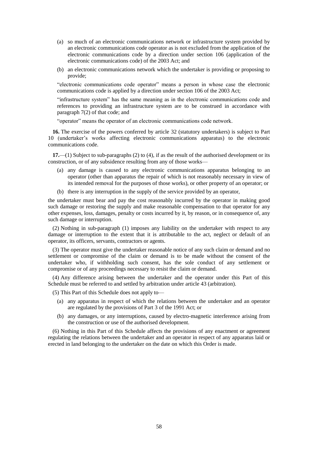- (a) so much of an electronic communications network or infrastructure system provided by an electronic communications code operator as is not excluded from the application of the electronic communications code by a direction under section 106 (application of the electronic communications code) of the 2003 Act; and
- (b) an electronic communications network which the undertaker is providing or proposing to provide;

"electronic communications code operator" means a person in whose case the electronic communications code is applied by a direction under section 106 of the 2003 Act;

"infrastructure system" has the same meaning as in the electronic communications code and references to providing an infrastructure system are to be construed in accordance with paragraph 7(2) of that code; and

"operator" means the operator of an electronic communications code network.

**16.** The exercise of the powers conferred by article 32 (statutory undertakers) is subject to Part 10 (undertaker's works affecting electronic communications apparatus) to the electronic communications code.

**17.**—(1) Subject to sub-paragraphs (2) to (4), if as the result of the authorised development or its construction, or of any subsidence resulting from any of those works—

- (a) any damage is caused to any electronic communications apparatus belonging to an operator (other than apparatus the repair of which is not reasonably necessary in view of its intended removal for the purposes of those works), or other property of an operator; or
- (b) there is any interruption in the supply of the service provided by an operator,

the undertaker must bear and pay the cost reasonably incurred by the operator in making good such damage or restoring the supply and make reasonable compensation to that operator for any other expenses, loss, damages, penalty or costs incurred by it, by reason, or in consequence of, any such damage or interruption.

(2) Nothing in sub-paragraph (1) imposes any liability on the undertaker with respect to any damage or interruption to the extent that it is attributable to the act, neglect or default of an operator, its officers, servants, contractors or agents.

(3) The operator must give the undertaker reasonable notice of any such claim or demand and no settlement or compromise of the claim or demand is to be made without the consent of the undertaker who, if withholding such consent, has the sole conduct of any settlement or compromise or of any proceedings necessary to resist the claim or demand.

(4) Any difference arising between the undertaker and the operator under this Part of this Schedule must be referred to and settled by arbitration under article 43 (arbitration).

(5) This Part of this Schedule does not apply to—

- (a) any apparatus in respect of which the relations between the undertaker and an operator are regulated by the provisions of Part 3 of the 1991 Act; or
- (b) any damages, or any interruptions, caused by electro-magnetic interference arising from the construction or use of the authorised development.

(6) Nothing in this Part of this Schedule affects the provisions of any enactment or agreement regulating the relations between the undertaker and an operator in respect of any apparatus laid or erected in land belonging to the undertaker on the date on which this Order is made.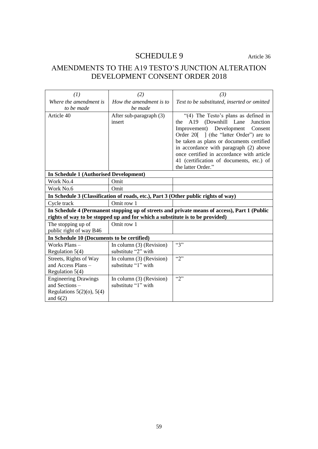# SCHEDULE 9 Article 36

# AMENDMENTS TO THE A19 TESTO'S JUNCTION ALTERATION DEVELOPMENT CONSENT ORDER 2018

| (1)                                                                                          | (2)                        | (3)                                                            |  |  |  |
|----------------------------------------------------------------------------------------------|----------------------------|----------------------------------------------------------------|--|--|--|
| Where the amendment is                                                                       | How the amendment is to    | Text to be substituted, inserted or omitted                    |  |  |  |
| to be made                                                                                   | be made                    |                                                                |  |  |  |
| Article 40                                                                                   | After sub-paragraph (3)    | "(4) The Testo's plans as defined in                           |  |  |  |
|                                                                                              | insert                     | the A19 (Downhill Lane<br>Junction                             |  |  |  |
|                                                                                              |                            | Improvement) Development<br>Consent                            |  |  |  |
|                                                                                              |                            | Order 20[] (the "latter Order") are to                         |  |  |  |
|                                                                                              |                            | be taken as plans or documents certified                       |  |  |  |
|                                                                                              |                            | in accordance with paragraph (2) above                         |  |  |  |
|                                                                                              |                            | once certified in accordance with article                      |  |  |  |
|                                                                                              |                            | 41 (certification of documents, etc.) of<br>the latter Order." |  |  |  |
| <b>In Schedule 1 (Authorised Development)</b>                                                |                            |                                                                |  |  |  |
| Work No.4                                                                                    | Omit                       |                                                                |  |  |  |
|                                                                                              |                            |                                                                |  |  |  |
| Work No.6                                                                                    | Omit                       |                                                                |  |  |  |
| In Schedule 3 (Classification of roads, etc.), Part 3 (Other public rights of way)           |                            |                                                                |  |  |  |
| Cycle track                                                                                  | Omit row 1                 |                                                                |  |  |  |
| In Schedule 4 (Permanent stopping up of streets and private means of access), Part 1 (Public |                            |                                                                |  |  |  |
| rights of way to be stopped up and for which a substitute is to be provided)                 |                            |                                                                |  |  |  |
| The stopping up of                                                                           | Omit row 1                 |                                                                |  |  |  |
| public right of way B46                                                                      |                            |                                                                |  |  |  |
| In Schedule 10 (Documents to be certified)                                                   |                            |                                                                |  |  |  |
| Works Plans -                                                                                | In column $(3)$ (Revision) | $\lq\lq\lq\lq\lq$                                              |  |  |  |
| Regulation $5(4)$                                                                            | substitute "2" with        |                                                                |  |  |  |
| Streets, Rights of Way                                                                       | In column $(3)$ (Revision) | $\mathfrak{g}_{2}$                                             |  |  |  |
| and Access Plans -                                                                           | substitute "1" with        |                                                                |  |  |  |
| Regulation $5(4)$                                                                            |                            |                                                                |  |  |  |
| <b>Engineering Drawings</b>                                                                  | In column $(3)$ (Revision) | $\mathfrak{g}_2$                                               |  |  |  |
| and Sections -                                                                               | substitute "1" with        |                                                                |  |  |  |
| Regulations $5(2)(o)$ , $5(4)$                                                               |                            |                                                                |  |  |  |
| and $6(2)$                                                                                   |                            |                                                                |  |  |  |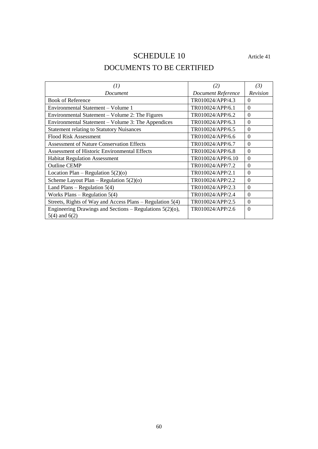# SCHEDULE 10 Article 41

# DOCUMENTS TO BE CERTIFIED

| (1)                                                                              | (2)                       | (3)             |
|----------------------------------------------------------------------------------|---------------------------|-----------------|
| Document                                                                         | <b>Document Reference</b> | <b>Revision</b> |
| <b>Book of Reference</b>                                                         | TR010024/APP/4.3          | $\Omega$        |
| Environmental Statement – Volume 1                                               | TR010024/APP/6.1          | $\Omega$        |
| Environmental Statement - Volume 2: The Figures                                  | TR010024/APP/6.2          | $\theta$        |
| Environmental Statement – Volume 3: The Appendices                               | TR010024/APP/6.3          | $\theta$        |
| <b>Statement relating to Statutory Nuisances</b>                                 | TR010024/APP/6.5          | $\theta$        |
| <b>Flood Risk Assessment</b>                                                     | TR010024/APP/6.6          | $\Omega$        |
| <b>Assessment of Nature Conservation Effects</b>                                 | TR010024/APP/6.7          | $\Omega$        |
| <b>Assessment of Historic Environmental Effects</b>                              | TR010024/APP/6.8          | $\Omega$        |
| <b>Habitat Regulation Assessment</b>                                             | TR010024/APP/6.10         | $\Omega$        |
| <b>Outline CEMP</b>                                                              | TR010024/APP/7.2          | $\Omega$        |
| Location Plan – Regulation $5(2)(o)$                                             | TR010024/APP/2.1          | $\Omega$        |
| Scheme Layout Plan – Regulation $5(2)(o)$                                        | TR010024/APP/2.2          | $\Omega$        |
| Land Plans – Regulation $5(4)$                                                   | TR010024/APP/2.3          | $\Omega$        |
| Works Plans – Regulation $5(4)$                                                  | TR010024/APP/2.4          | $\Omega$        |
| Streets, Rights of Way and Access Plans – Regulation 5(4)                        | TR010024/APP/2.5          | $\theta$        |
| Engineering Drawings and Sections – Regulations $5(2)(o)$ ,<br>$5(4)$ and $6(2)$ | TR010024/APP/2.6          | $\Omega$        |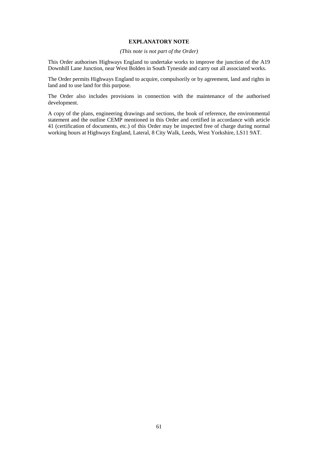### **EXPLANATORY NOTE**

### *(This note is not part of the Order)*

This Order authorises Highways England to undertake works to improve the junction of the A19 Downhill Lane Junction, near West Bolden in South Tyneside and carry out all associated works.

The Order permits Highways England to acquire, compulsorily or by agreement, land and rights in land and to use land for this purpose.

The Order also includes provisions in connection with the maintenance of the authorised development.

A copy of the plans, engineering drawings and sections, the book of reference, the environmental statement and the outline CEMP mentioned in this Order and certified in accordance with article 41 (certification of documents, etc.) of this Order may be inspected free of charge during normal working hours at Highways England, Lateral, 8 City Walk, Leeds, West Yorkshire, LS11 9AT.